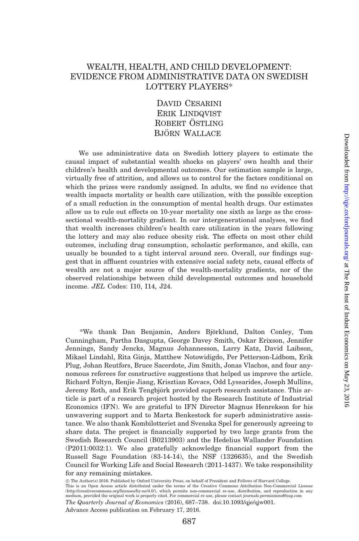# WEALTH, HEALTH, AND CHILD DEVELOPMENT: EVIDENCE FROM ADMINISTRATIVE DATA ON SWEDISH LOTTERY PLAYERS\*

David Cesarini Erik Lindqvist ROBERT ÖSTLING BJÖRN WALLACE

We use administrative data on Swedish lottery players to estimate the causal impact of substantial wealth shocks on players' own health and their children's health and developmental outcomes. Our estimation sample is large, virtually free of attrition, and allows us to control for the factors conditional on which the prizes were randomly assigned. In adults, we find no evidence that wealth impacts mortality or health care utilization, with the possible exception of a small reduction in the consumption of mental health drugs. Our estimates allow us to rule out effects on 10-year mortality one sixth as large as the crosssectional wealth-mortality gradient. In our intergenerational analyses, we find that wealth increases children's health care utilization in the years following the lottery and may also reduce obesity risk. The effects on most other child outcomes, including drug consumption, scholastic performance, and skills, can usually be bounded to a tight interval around zero. Overall, our findings suggest that in affluent countries with extensive social safety nets, causal effects of wealth are not a major source of the wealth-mortality gradients, nor of the observed relationships between child developmental outcomes and household income. JEL Codes: I10, I14, J24.

\*We thank Dan Benjamin, Anders Björklund, Dalton Conley, Tom Cunningham, Partha Dasgupta, George Davey Smith, Oskar Erixson, Jennifer Jennings, Sandy Jencks, Magnus Johannesson, Larry Katz, David Laibson, Mikael Lindahl, Rita Ginja, Matthew Notowidigdo, Per Petterson-Lidbom, Erik Plug, Johan Reutfors, Bruce Sacerdote, Jim Smith, Jonas Vlachos, and four anynomous referees for constructive suggestions that helped us improve the article. Richard Foltyn, Renjie Jiang, Krisztian Kovacs, Odd Lyssarides, Joseph Mullins, Jeremy Roth, and Erik Tengbjörk provided superb research assistance. This article is part of a research project hosted by the Research Institute of Industrial Economics (IFN). We are grateful to IFN Director Magnus Henrekson for his unwavering support and to Marta Benkestock for superb administrative assistance. We also thank Kombilotteriet and Svenska Spel for generously agreeing to share data. The project is financially supported by two large grants from the Swedish Research Council (B0213903) and the Hedelius Wallander Foundation (P2011:0032:1). We also gratefully acknowledge financial support from the Russell Sage Foundation (83-14-14), the NSF (1326635), and the Swedish Council for Working Life and Social Research (2011-1437). We take responsibility for any remaining mistakes.

! The Author(s) 2016. Published by Oxford University Press, on behalf of President and Fellows of Harvard College.

This is an Open Access article distributed under the terms of the Creative Commons Attribution Non-Commercial License [\(http://creativecommons.org/licenses/by-nc/4.0/\)](http://creativecommons.org/licenses/by-nc/4.0/), which permits non-commercial re-use, distribution, and reproduction in any medium, provided the original work is properly cited. For commercial re-use, please contact journals.permissions@oup.com

The Quarterly Journal of Economics (2016), 687–738. doi:10.1093/qje/qjw001. Advance Access publication on February 17, 2016.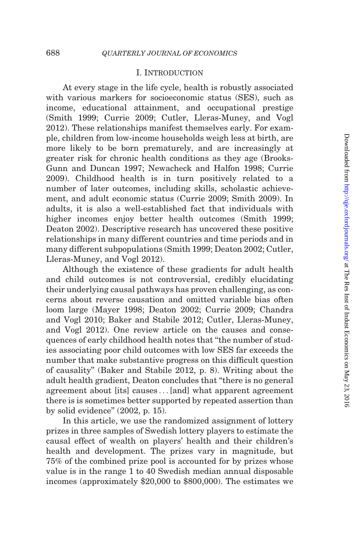### I. Introduction

At every stage in the life cycle, health is robustly associated with various markers for socioeconomic status (SES), such as income, educational attainment, and occupational prestige ([Smith 1999;](#page-51-0) [Currie 2009](#page-49-0); [Cutler, Lleras-Muney, and Vogl](#page-49-0) [2012](#page-49-0)). These relationships manifest themselves early. For example, children from low-income households weigh less at birth, are more likely to be born prematurely, and are increasingly at greater risk for chronic health conditions as they age ([Brooks-](#page-48-0)[Gunn and Duncan 1997;](#page-48-0) [Newacheck and Halfon 1998;](#page-50-0) [Currie](#page-49-0) [2009](#page-49-0)). Childhood health is in turn positively related to a number of later outcomes, including skills, scholastic achievement, and adult economic status ([Currie 2009;](#page-49-0) [Smith 2009](#page-51-0)). In adults, it is also a well-established fact that individuals with higher incomes enjoy better health outcomes [\(Smith 1999](#page-51-0); [Deaton 2002](#page-49-0)). Descriptive research has uncovered these positive relationships in many different countries and time periods and in many different subpopulations ([Smith 1999;](#page-51-0) [Deaton 2002; Cutler,](#page-49-0) [Lleras-Muney, and Vogl 2012\)](#page-49-0).

Although the existence of these gradients for adult health and child outcomes is not controversial, credibly elucidating their underlying causal pathways has proven challenging, as concerns about reverse causation and omitted variable bias often loom large [\(Mayer 1998;](#page-50-0) [Deaton 2002; Currie 2009; Chandra](#page-49-0) [and Vogl 2010](#page-49-0); [Baker and Stabile 2012;](#page-48-0) [Cutler, Lleras-Muney,](#page-49-0) [and Vogl 2012](#page-49-0)). One review article on the causes and consequences of early childhood health notes that ''the number of studies associating poor child outcomes with low SES far exceeds the number that make substantive progress on this difficult question of causality'' ([Baker and Stabile 2012,](#page-48-0) p. 8). Writing about the adult health gradient, Deaton concludes that ''there is no general agreement about [its] causes ...[and] what apparent agreement there is is sometimes better supported by repeated assertion than by solid evidence'' ([2002,](#page-49-0) p. 15).

In this article, we use the randomized assignment of lottery prizes in three samples of Swedish lottery players to estimate the causal effect of wealth on players' health and their children's health and development. The prizes vary in magnitude, but 75% of the combined prize pool is accounted for by prizes whose value is in the range 1 to 40 Swedish median annual disposable incomes (approximately \$20,000 to \$800,000). The estimates we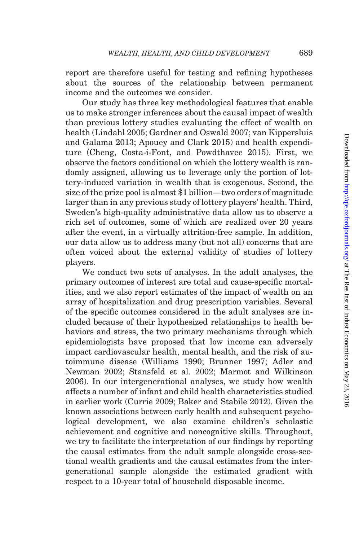report are therefore useful for testing and refining hypotheses about the sources of the relationship between permanent income and the outcomes we consider.

Our study has three key methodological features that enable us to make stronger inferences about the causal impact of wealth than previous lottery studies evaluating the effect of wealth on health ([Lindahl 2005](#page-50-0); [Gardner and Oswald 2007](#page-49-0); [van Kippersluis](#page-51-0) [and Galama 2013;](#page-51-0) [Apouey and Clark 2015](#page-48-0)) and health expenditure [\(Cheng, Costa-i-Font, and Powdthavee 2015](#page-49-0)). First, we observe the factors conditional on which the lottery wealth is randomly assigned, allowing us to leverage only the portion of lottery-induced variation in wealth that is exogenous. Second, the size of the prize pool is almost \$1 billion—two orders of magnitude larger than in any previous study of lottery players' health. Third, Sweden's high-quality administrative data allow us to observe a rich set of outcomes, some of which are realized over 20 years after the event, in a virtually attrition-free sample. In addition, our data allow us to address many (but not all) concerns that are often voiced about the external validity of studies of lottery players.

We conduct two sets of analyses. In the adult analyses, the primary outcomes of interest are total and cause-specific mortalities, and we also report estimates of the impact of wealth on an array of hospitalization and drug prescription variables. Several of the specific outcomes considered in the adult analyses are included because of their hypothesized relationships to health behaviors and stress, the two primary mechanisms through which epidemiologists have proposed that low income can adversely impact cardiovascular health, mental health, and the risk of autoimmune disease ([Williams 1990](#page-51-0); [Brunner 1997](#page-48-0); [Adler and](#page-48-0) [Newman 2002](#page-48-0); [Stansfeld et al. 2002](#page-51-0); [Marmot and Wilkinson](#page-50-0) [2006\)](#page-50-0). In our intergenerational analyses, we study how wealth affects a number of infant and child health characteristics studied in earlier work [\(Currie 2009](#page-49-0); [Baker and Stabile 2012\)](#page-48-0). Given the known associations between early health and subsequent psychological development, we also examine children's scholastic achievement and cognitive and noncognitive skills. Throughout, we try to facilitate the interpretation of our findings by reporting the causal estimates from the adult sample alongside cross-sectional wealth gradients and the causal estimates from the intergenerational sample alongside the estimated gradient with respect to a 10-year total of household disposable income.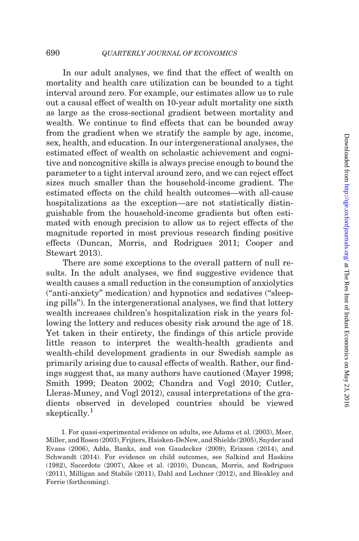In our adult analyses, we find that the effect of wealth on mortality and health care utilization can be bounded to a tight interval around zero. For example, our estimates allow us to rule out a causal effect of wealth on 10-year adult mortality one sixth as large as the cross-sectional gradient between mortality and wealth. We continue to find effects that can be bounded away from the gradient when we stratify the sample by age, income, sex, health, and education. In our intergenerational analyses, the estimated effect of wealth on scholastic achievement and cognitive and noncognitive skills is always precise enough to bound the parameter to a tight interval around zero, and we can reject effect sizes much smaller than the household-income gradient. The estimated effects on the child health outcomes—with all-cause hospitalizations as the exception—are not statistically distinguishable from the household-income gradients but often estimated with enough precision to allow us to reject effects of the magnitude reported in most previous research finding positive effects ([Duncan, Morris, and Rodrigues 2011; Cooper and](#page-49-0) [Stewart 2013](#page-49-0)).

There are some exceptions to the overall pattern of null results. In the adult analyses, we find suggestive evidence that wealth causes a small reduction in the consumption of anxiolytics (''anti-anxiety'' medication) and hypnotics and sedatives (''sleeping pills''). In the intergenerational analyses, we find that lottery wealth increases children's hospitalization risk in the years following the lottery and reduces obesity risk around the age of 18. Yet taken in their entirety, the findings of this article provide little reason to interpret the wealth-health gradients and wealth-child development gradients in our Swedish sample as primarily arising due to causal effects of wealth. Rather, our findings suggest that, as many authors have cautioned ([Mayer 1998](#page-50-0); [Smith 1999;](#page-51-0) [Deaton 2002](#page-49-0); [Chandra and Vogl 2010; Cutler,](#page-49-0) [Lleras-Muney, and Vogl 2012](#page-49-0)), causal interpretations of the gradients observed in developed countries should be viewed skeptically.<sup>1</sup>

1. For quasi-experimental evidence on adults, see [Adams et al. \(2003\),](#page-48-0) [Meer,](#page-50-0) [Miller, and Rosen \(2003\),](#page-50-0) [Frijters, Haisken-DeNew, and Shields \(2005\),](#page-49-0) [Snyder and](#page-51-0) [Evans \(2006\),](#page-51-0) [Adda, Banks, and von Gaudecker \(2009\),](#page-48-0) [Erixson \(2014\),](#page-49-0) and [Schwandt \(2014\)](#page-50-0). For evidence on child outcomes, see [Salkind and Haskins](#page-50-0) [\(1982\)](#page-50-0), [Sacerdote \(2007\),](#page-50-0) [Akee et al. \(2010\)](#page-48-0), [Duncan, Morris, and Rodrigues](#page-49-0) [\(2011\)](#page-49-0), [Milligan and Stabile \(2011\),](#page-50-0) [Dahl and Lochner \(2012\)](#page-49-0), and [Bleakley and](#page-48-0) [Ferrie \(forthcoming\).](#page-48-0)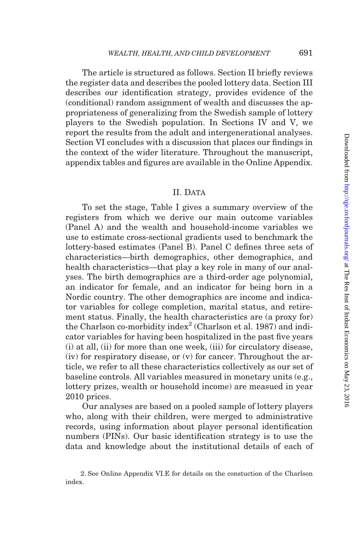The article is structured as follows. Section II briefly reviews the register data and describes the pooled lottery data. Section III describes our identification strategy, provides evidence of the (conditional) random assignment of wealth and discusses the appropriateness of generalizing from the Swedish sample of lottery players to the Swedish population. In Sections IV and V, we report the results from the adult and intergenerational analyses. Section VI concludes with a discussion that places our findings in the context of the wider literature. Throughout the manuscript, appendix tables and figures are available in the [Online Appendix.](http://qje.oxfordjournals.org/lookup/suppl/doi:10.1093/qje/qjw001/-/DC1)

### II. DATA

To set the stage, [Table I](#page-5-0) gives a summary overview of the registers from which we derive our main outcome variables (Panel A) and the wealth and household-income variables we use to estimate cross-sectional gradients used to benchmark the lottery-based estimates (Panel B). Panel C defines three sets of characteristics—birth demographics, other demographics, and health characteristics—that play a key role in many of our analyses. The birth demographics are a third-order age polynomial, an indicator for female, and an indicator for being born in a Nordic country. The other demographics are income and indicator variables for college completion, marital status, and retirement status. Finally, the health characteristics are (a proxy for) the Charlson co-morbidity index<sup>2</sup> [\(Charlson et al. 1987](#page-49-0)) and indicator variables for having been hospitalized in the past five years (i) at all, (ii) for more than one week, (iii) for circulatory disease, (iv) for respiratory disease, or (v) for cancer. Throughout the article, we refer to all these characteristics collectively as our set of baseline controls. All variables measured in monetary units (e.g., lottery prizes, wealth or household income) are measued in year 2010 prices.

Our analyses are based on a pooled sample of lottery players who, along with their children, were merged to administrative records, using information about player personal identification numbers (PINs). Our basic identification strategy is to use the data and knowledge about the institutional details of each of

<sup>2.</sup> See [Online Appendix VI.E](http://qje.oxfordjournals.org/lookup/suppl/doi:10.1093/qje/qjw001/-/DC1) for details on the constuction of the Charlson index.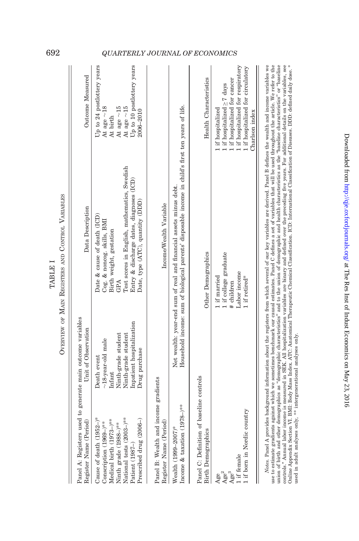| Panel A: Registers used to generate main outcome variables<br>Register Name (Period)                                                                                               | Unit of Observation                                                                                                                         | Data Description                                                                                                                                                                                                                                                                                                                                                                                                                                                                                                                                    | Outcome Measured                                                                                                                                                                 |
|------------------------------------------------------------------------------------------------------------------------------------------------------------------------------------|---------------------------------------------------------------------------------------------------------------------------------------------|-----------------------------------------------------------------------------------------------------------------------------------------------------------------------------------------------------------------------------------------------------------------------------------------------------------------------------------------------------------------------------------------------------------------------------------------------------------------------------------------------------------------------------------------------------|----------------------------------------------------------------------------------------------------------------------------------------------------------------------------------|
| National tests (2003-)**<br>Cause of death $(1952-)^*$<br>Medical birth (1973-)**<br>Prescribed drug (2006-)<br>Conscription (1969-)**<br>Ninth grade (1988-)**<br>Patient (1987–) | Inpatient hospitalization<br>Ninth-grade student<br>Ninth-grade student<br>$\sim$ 18-year-old male<br>Drug purchase<br>Death event<br>nfant | Test scores in English, mathematics, Swedish<br>Entry & discharge dates, diagnoses (ICD)<br>Date, type (ATC), quantity (DDD)<br>Date & cause of death (ICD)<br>Cog. & noncog. skills, BMI<br>Birth weight, gestation                                                                                                                                                                                                                                                                                                                                | Up to 24 postlottery years<br>Up to 10 postlottery years<br>At age ${\sim}18$<br>At age $\sim$ 15<br>At age $\sim$ 15<br>2006-2010<br>At birth                                   |
| Panel B: Wealth and income gradients<br>Register Name (Period                                                                                                                      |                                                                                                                                             | Income/Wealth Variable                                                                                                                                                                                                                                                                                                                                                                                                                                                                                                                              |                                                                                                                                                                                  |
| Income & taxation (1978-)**<br>Wealth (1999–2007)*                                                                                                                                 |                                                                                                                                             | Household income: sum of biological parents' disposable income in child's first ten years of life.<br>Net wealth: year-end sum of real and financial assets minus debt.                                                                                                                                                                                                                                                                                                                                                                             |                                                                                                                                                                                  |
| Panel C: Definition of baseline controls<br>Birth Demographics                                                                                                                     |                                                                                                                                             | Other Demographics                                                                                                                                                                                                                                                                                                                                                                                                                                                                                                                                  | Health Characteristics                                                                                                                                                           |
| 1 if born in Nordic country<br>1 if female<br>Age <sup>3</sup><br>Age <sup>2</sup><br>Age                                                                                          |                                                                                                                                             | 1 if college graduate<br>Labor income<br>1 if married<br>1 if retired*<br># children                                                                                                                                                                                                                                                                                                                                                                                                                                                                | I if hospitalized for respiratory<br>1 if hospitalized for circulatory<br>I if hospitalized for cancer<br>1 if hospitalized $\geq 7$ days<br>l if hospitalized<br>Charlson index |
|                                                                                                                                                                                    |                                                                                                                                             | Notes. Panel A provides background information about the registers from which several of our key variables are derived. Panel B defines the wealth and income variables we<br>use to estimate gradients against which we sometimes benchmark our causal estimates. Panel C defines a set of variables that will be used throughout the article. We refer to the<br>union of birth and other demographics as "demographic characteristics" and to the union of demographic and health characteristics as the "haseline characteristics" or "haseline |                                                                                                                                                                                  |

controls." Annual labor income is measured in SEK. All hospitalization variables are binary and defined over the preceding five years. For additional details on the variables, see<br>Online Appendix Section VI. BMI: Body Mass controls.'' Annual labor income is measured in SEK. All hospitalization variables are binary and defined over the preceding five years. For additional details on the variables, see Online [Appendix](http://qje.oxfordjournals.org/lookup/suppl/doi:10.1093/qje/qjw001/-/DC1) Section VI. BMI: Body Mass Index. ATC: Anatomical Therapeutic Chemical Classification. ICD: International Classification of Diseases. DDD: defined daily dose. \* used in adult analyses only, \*\* intergenerational analyses only.

TABLE I OVERVIEW OF MAIN REGISTERS AND CONTROL VARIABLES

OVERVIEW OF MAIN REGISTERS AND CONTROL VARIABLES TABLE I

# <span id="page-5-0"></span>692 QUARTERLY JOURNAL OF ECONOMICS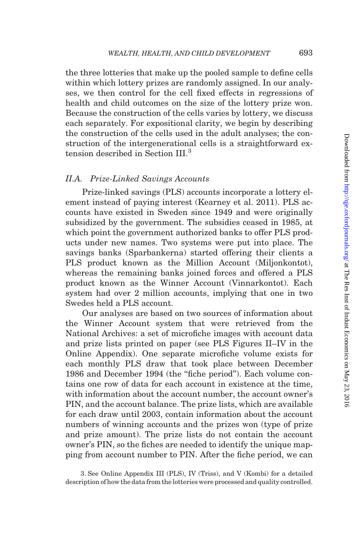the three lotteries that make up the pooled sample to define cells within which lottery prizes are randomly assigned. In our analyses, we then control for the cell fixed effects in regressions of health and child outcomes on the size of the lottery prize won. Because the construction of the cells varies by lottery, we discuss each separately. For expositional clarity, we begin by describing the construction of the cells used in the adult analyses; the construction of the intergenerational cells is a straightforward extension described in Section III.<sup>3</sup>

### II.A. Prize-Linked Savings Accounts

Prize-linked savings (PLS) accounts incorporate a lottery element instead of paying interest ([Kearney et al. 2011\)](#page-50-0). PLS accounts have existed in Sweden since 1949 and were originally subsidized by the government. The subsidies ceased in 1985, at which point the government authorized banks to offer PLS products under new names. Two systems were put into place. The savings banks (Sparbankerna) started offering their clients a PLS product known as the Million Account (Miljonkontot), whereas the remaining banks joined forces and offered a PLS product known as the Winner Account (Vinnarkontot). Each system had over 2 million accounts, implying that one in two Swedes held a PLS account.

Our analyses are based on two sources of information about the Winner Account system that were retrieved from the National Archives: a set of microfiche images with account data and prize lists printed on paper (see [PLS Figures II–IV](http://qje.oxfordjournals.org/lookup/suppl/doi:10.1093/qje/qjw001/-/DC1) in the [Online Appendix](http://qje.oxfordjournals.org/lookup/suppl/doi:10.1093/qje/qjw001/-/DC1)). One separate microfiche volume exists for each monthly PLS draw that took place between December 1986 and December 1994 (the ''fiche period''). Each volume contains one row of data for each account in existence at the time, with information about the account number, the account owner's PIN, and the account balance. The prize lists, which are available for each draw until 2003, contain information about the account numbers of winning accounts and the prizes won (type of prize and prize amount). The prize lists do not contain the account owner's PIN, so the fiches are needed to identify the unique mapping from account number to PIN. After the fiche period, we can

3. See [Online Appendix III \(PLS\)](http://qje.oxfordjournals.org/lookup/suppl/doi:10.1093/qje/qjw001/-/DC1), [IV \(Triss\)](http://qje.oxfordjournals.org/lookup/suppl/doi:10.1093/qje/qjw001/-/DC1), and [V \(Kombi\)](http://qje.oxfordjournals.org/lookup/suppl/doi:10.1093/qje/qjw001/-/DC1) for a detailed description of how the data from the lotteries were processed and quality controlled.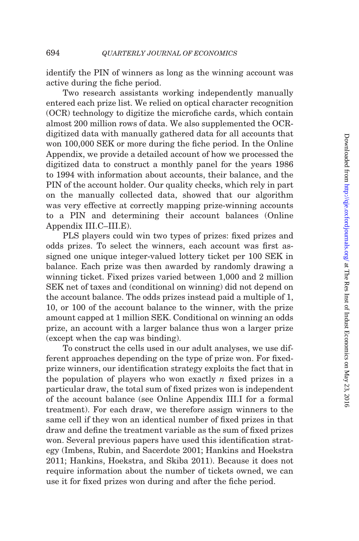identify the PIN of winners as long as the winning account was active during the fiche period.

Two research assistants working independently manually entered each prize list. We relied on optical character recognition (OCR) technology to digitize the microfiche cards, which contain almost 200 million rows of data. We also supplemented the OCRdigitized data with manually gathered data for all accounts that won 100,000 SEK or more during the fiche period. In the [Online](http://qje.oxfordjournals.org/lookup/suppl/doi:10.1093/qje/qjw001/-/DC1) [Appendix](http://qje.oxfordjournals.org/lookup/suppl/doi:10.1093/qje/qjw001/-/DC1), we provide a detailed account of how we processed the digitized data to construct a monthly panel for the years 1986 to 1994 with information about accounts, their balance, and the PIN of the account holder. Our quality checks, which rely in part on the manually collected data, showed that our algorithm was very effective at correctly mapping prize-winning accounts to a PIN and determining their account balances [\(Online](http://qje.oxfordjournals.org/lookup/suppl/doi:10.1093/qje/qjw001/-/DC1) [Appendix III.C–III.E\)](http://qje.oxfordjournals.org/lookup/suppl/doi:10.1093/qje/qjw001/-/DC1).

PLS players could win two types of prizes: fixed prizes and odds prizes. To select the winners, each account was first assigned one unique integer-valued lottery ticket per 100 SEK in balance. Each prize was then awarded by randomly drawing a winning ticket. Fixed prizes varied between 1,000 and 2 million SEK net of taxes and (conditional on winning) did not depend on the account balance. The odds prizes instead paid a multiple of 1, 10, or 100 of the account balance to the winner, with the prize amount capped at 1 million SEK. Conditional on winning an odds prize, an account with a larger balance thus won a larger prize (except when the cap was binding).

To construct the cells used in our adult analyses, we use different approaches depending on the type of prize won. For fixedprize winners, our identification strategy exploits the fact that in the population of players who won exactly  $n$  fixed prizes in a particular draw, the total sum of fixed prizes won is independent of the account balance (see [Online Appendix III.I](http://qje.oxfordjournals.org/lookup/suppl/doi:10.1093/qje/qjw001/-/DC1) for a formal treatment). For each draw, we therefore assign winners to the same cell if they won an identical number of fixed prizes in that draw and define the treatment variable as the sum of fixed prizes won. Several previous papers have used this identification strategy [\(Imbens, Rubin, and Sacerdote 2001](#page-50-0); [Hankins and Hoekstra](#page-50-0) [2011](#page-50-0); [Hankins, Hoekstra, and Skiba 2011\)](#page-50-0). Because it does not require information about the number of tickets owned, we can use it for fixed prizes won during and after the fiche period.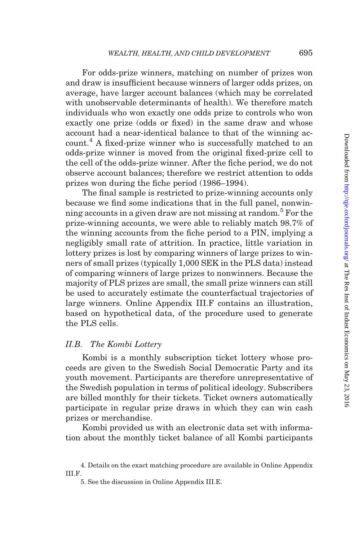For odds-prize winners, matching on number of prizes won and draw is insufficient because winners of larger odds prizes, on average, have larger account balances (which may be correlated with unobservable determinants of health). We therefore match individuals who won exactly one odds prize to controls who won exactly one prize (odds or fixed) in the same draw and whose account had a near-identical balance to that of the winning account.<sup>4</sup> A fixed-prize winner who is successfully matched to an odds-prize winner is moved from the original fixed-prize cell to the cell of the odds-prize winner. After the fiche period, we do not observe account balances; therefore we restrict attention to odds prizes won during the fiche period (1986–1994).

The final sample is restricted to prize-winning accounts only because we find some indications that in the full panel, nonwinning accounts in a given draw are not missing at random.<sup>5</sup> For the prize-winning accounts, we were able to reliably match 98.7% of the winning accounts from the fiche period to a PIN, implying a negligibly small rate of attrition. In practice, little variation in lottery prizes is lost by comparing winners of large prizes to winners of small prizes (typically 1,000 SEK in the PLS data) instead of comparing winners of large prizes to nonwinners. Because the majority of PLS prizes are small, the small prize winners can still be used to accurately estimate the counterfactual trajectories of large winners. [Online Appendix III.F](http://qje.oxfordjournals.org/lookup/suppl/doi:10.1093/qje/qjw001/-/DC1) contains an illustration, based on hypothetical data, of the procedure used to generate the PLS cells.

### II.B. The Kombi Lottery

Kombi is a monthly subscription ticket lottery whose proceeds are given to the Swedish Social Democratic Party and its youth movement. Participants are therefore unrepresentative of the Swedish population in terms of political ideology. Subscribers are billed monthly for their tickets. Ticket owners automatically participate in regular prize draws in which they can win cash prizes or merchandise.

Kombi provided us with an electronic data set with information about the monthly ticket balance of all Kombi participants

<sup>4.</sup> Details on the exact matching procedure are available in [Online Appendix](http://qje.oxfordjournals.org/lookup/suppl/doi:10.1093/qje/qjw001/-/DC1) [III.F.](http://qje.oxfordjournals.org/lookup/suppl/doi:10.1093/qje/qjw001/-/DC1)

<sup>5.</sup> See the discussion in [Online Appendix III.E.](http://qje.oxfordjournals.org/lookup/suppl/doi:10.1093/qje/qjw001/-/DC1)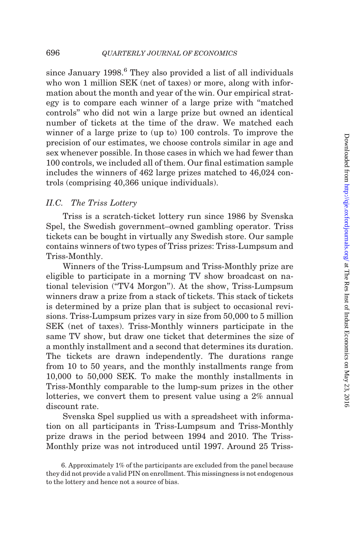since January 1998.<sup>6</sup> They also provided a list of all individuals who won 1 million SEK (net of taxes) or more, along with information about the month and year of the win. Our empirical strategy is to compare each winner of a large prize with ''matched controls'' who did not win a large prize but owned an identical number of tickets at the time of the draw. We matched each winner of a large prize to (up to) 100 controls. To improve the precision of our estimates, we choose controls similar in age and sex whenever possible. In those cases in which we had fewer than 100 controls, we included all of them. Our final estimation sample includes the winners of 462 large prizes matched to 46,024 controls (comprising 40,366 unique individuals).

### II.C. The Triss Lottery

Triss is a scratch-ticket lottery run since 1986 by Svenska Spel, the Swedish government–owned gambling operator. Triss tickets can be bought in virtually any Swedish store. Our sample contains winners of two types of Triss prizes: Triss-Lumpsum and Triss-Monthly.

Winners of the Triss-Lumpsum and Triss-Monthly prize are eligible to participate in a morning TV show broadcast on national television (''TV4 Morgon''). At the show, Triss-Lumpsum winners draw a prize from a stack of tickets. This stack of tickets is determined by a prize plan that is subject to occasional revisions. Triss-Lumpsum prizes vary in size from 50,000 to 5 million SEK (net of taxes). Triss-Monthly winners participate in the same TV show, but draw one ticket that determines the size of a monthly installment and a second that determines its duration. The tickets are drawn independently. The durations range from 10 to 50 years, and the monthly installments range from 10,000 to 50,000 SEK. To make the monthly installments in Triss-Monthly comparable to the lump-sum prizes in the other lotteries, we convert them to present value using a 2% annual discount rate.

Svenska Spel supplied us with a spreadsheet with information on all participants in Triss-Lumpsum and Triss-Monthly prize draws in the period between 1994 and 2010. The Triss-Monthly prize was not introduced until 1997. Around 25 Triss-

<sup>6.</sup> Approximately 1% of the participants are excluded from the panel because they did not provide a valid PIN on enrollment. This missingness is not endogenous to the lottery and hence not a source of bias.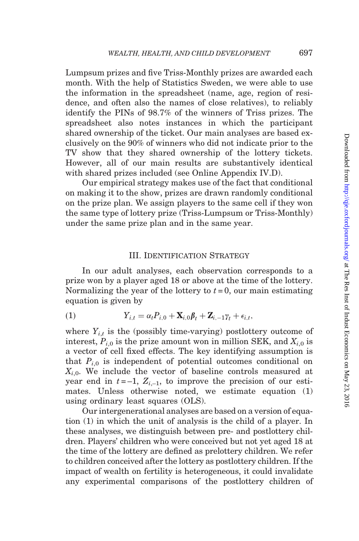<span id="page-10-0"></span>Lumpsum prizes and five Triss-Monthly prizes are awarded each month. With the help of Statistics Sweden, we were able to use the information in the spreadsheet (name, age, region of residence, and often also the names of close relatives), to reliably identify the PINs of 98.7% of the winners of Triss prizes. The spreadsheet also notes instances in which the participant shared ownership of the ticket. Our main analyses are based exclusively on the 90% of winners who did not indicate prior to the TV show that they shared ownership of the lottery tickets. However, all of our main results are substantively identical with shared prizes included (see [Online Appendix IV.D\)](http://qje.oxfordjournals.org/lookup/suppl/doi:10.1093/qje/qjw001/-/DC1).

Our empirical strategy makes use of the fact that conditional on making it to the show, prizes are drawn randomly conditional on the prize plan. We assign players to the same cell if they won the same type of lottery prize (Triss-Lumpsum or Triss-Monthly) under the same prize plan and in the same year.

### III. Identification Strategy

In our adult analyses, each observation corresponds to a prize won by a player aged 18 or above at the time of the lottery. Normalizing the year of the lottery to  $t = 0$ , our main estimating equation is given by

(1) 
$$
Y_{i,t} = \alpha_t P_{i,0} + \mathbf{X}_{i,0} \boldsymbol{\beta}_t + \mathbf{Z}_{i,-1} \boldsymbol{\gamma}_t + \epsilon_{i,t},
$$

where  $Y_{i,t}$  is the (possibly time-varying) postlottery outcome of interest,  $P_{i,0}$  is the prize amount won in million SEK, and  $X_{i,0}$  is a vector of cell fixed effects. The key identifying assumption is that  $P_{i,0}$  is independent of potential outcomes conditional on  $X_{i,0}$ . We include the vector of baseline controls measured at year end in  $t = -1$ ,  $Z_{i-1}$ , to improve the precision of our estimates. Unless otherwise noted, we estimate equation (1) using ordinary least squares (OLS).

Our intergenerational analyses are based on a version of equation (1) in which the unit of analysis is the child of a player. In these analyses, we distinguish between pre- and postlottery children. Players' children who were conceived but not yet aged 18 at the time of the lottery are defined as prelottery children. We refer to children conceived after the lottery as postlottery children. If the impact of wealth on fertility is heterogeneous, it could invalidate any experimental comparisons of the postlottery children of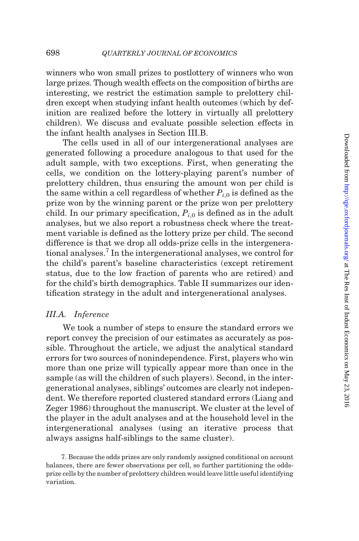winners who won small prizes to postlottery of winners who won large prizes. Though wealth effects on the composition of births are interesting, we restrict the estimation sample to prelottery children except when studying infant health outcomes (which by definition are realized before the lottery in virtually all prelottery children). We discuss and evaluate possible selection effects in the infant health analyses in Section III.B.

The cells used in all of our intergenerational analyses are generated following a procedure analogous to that used for the adult sample, with two exceptions. First, when generating the cells, we condition on the lottery-playing parent's number of prelottery children, thus ensuring the amount won per child is the same within a cell regardless of whether  $P_{i,0}$  is defined as the prize won by the winning parent or the prize won per prelottery child. In our primary specification,  $P_{i,0}$  is defined as in the adult analyses, but we also report a robustness check where the treatment variable is defined as the lottery prize per child. The second difference is that we drop all odds-prize cells in the intergenerational analyses.7 In the intergenerational analyses, we control for the child's parent's baseline characteristics (except retirement status, due to the low fraction of parents who are retired) and for the child's birth demographics. [Table II](#page-12-0) summarizes our identification strategy in the adult and intergenerational analyses.

### III.A. Inference

We took a number of steps to ensure the standard errors we report convey the precision of our estimates as accurately as possible. Throughout the article, we adjust the analytical standard errors for two sources of nonindependence. First, players who win more than one prize will typically appear more than once in the sample (as will the children of such players). Second, in the intergenerational analyses, siblings' outcomes are clearly not independent. We therefore reported clustered standard errors ([Liang and](#page-50-0) [Zeger 1986\)](#page-50-0) throughout the manuscript. We cluster at the level of the player in the adult analyses and at the household level in the intergenerational analyses (using an iterative process that always assigns half-siblings to the same cluster).

7. Because the odds prizes are only randomly assigned conditional on account balances, there are fewer observations per cell, so further partitioning the oddsprize cells by the number of prelottery children would leave little useful identifying variation.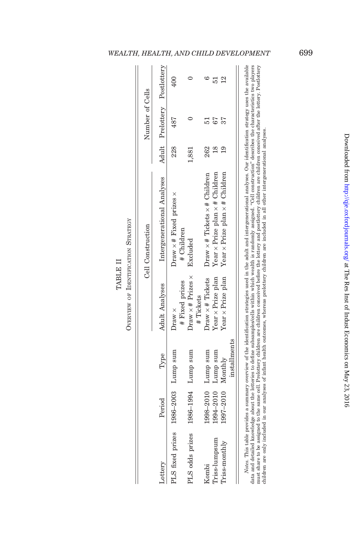|                                     |                       |                    |                                             | Cell Construction                                   |          | Number of Cells              |                |
|-------------------------------------|-----------------------|--------------------|---------------------------------------------|-----------------------------------------------------|----------|------------------------------|----------------|
| Lottery                             | Period                | Type               | <b>Adult Analyses</b>                       | Intergenerational Analyses                          |          | Adult Prelottery Postlottery |                |
| PLS fixed prizes 1986-2003 Lump sum |                       |                    | # Fixed prizes<br>Draw ×                    | Draw $\times$ # Fixed prizes $\times$<br># Children | 228      | 487                          | $^{400}$       |
| PLS odds prizes                     | 1986-1994 Lump sum    |                    | Draw $\times$ # Prizes $\times$<br>#Tickets | Excluded                                            | 1,881    |                              |                |
| Kombi                               |                       | 1998-2010 Lump sum | $Draw \times #$ Tickets                     | $Draw \times #$ Tickets $\times #$ Children         | 262      |                              |                |
| Triss-lumpsum                       |                       | 1994-2010 Lump sum | Year $\times$ Prize plan                    | Year $\times$ Prize plan $\times$ # Children        | $\alpha$ |                              | 51             |
| Triss-monthly                       | $1997 - 2010$ Monthly | installments       | $Year \times Prize$ plan                    | Year $\times$ Prize plan $\times$ # Children        |          |                              | $\mathbf{\Xi}$ |

TABLE II

**TABLE II** 

data and detailed knowledge about the lotteries to define subsamples/cells within which wealth is randomly assigned. "Cell construction" describes the characteristics two players<br>different are to be about the lotteries of data and detailed knowledge about the lotteries to define subsamples/cells within which wealth is randomly assigned. ''Cell construction'' describes the characteristics two players must share to be assigned to the same cell. Prelottery children are children conceived before the lottery and postlottery children are children conceived after the lottery. Postlottery children are only included in our analyses of infant health outcomes, whereas prelottery children are included in all other intergenerational analyses.

# <span id="page-12-0"></span>WEALTH, HEALTH, AND CHILD DEVELOPMENT 699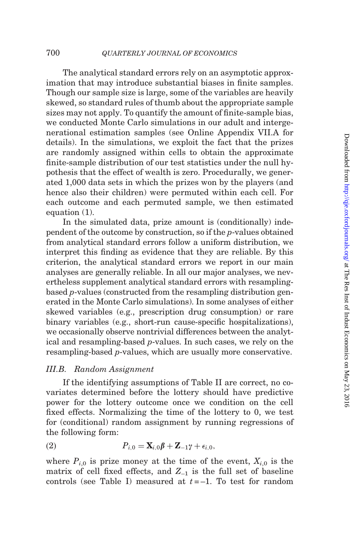<span id="page-13-0"></span>The analytical standard errors rely on an asymptotic approximation that may introduce substantial biases in finite samples. Though our sample size is large, some of the variables are heavily skewed, so standard rules of thumb about the appropriate sample sizes may not apply. To quantify the amount of finite-sample bias, we conducted Monte Carlo simulations in our adult and intergenerational estimation samples (see [Online Appendix VII.A](http://qje.oxfordjournals.org/lookup/suppl/doi:10.1093/qje/qjw001/-/DC1) for details). In the simulations, we exploit the fact that the prizes are randomly assigned within cells to obtain the approximate finite-sample distribution of our test statistics under the null hypothesis that the effect of wealth is zero. Procedurally, we generated 1,000 data sets in which the prizes won by the players (and hence also their children) were permuted within each cell. For each outcome and each permuted sample, we then estimated [equation \(1\).](#page-10-0)

In the simulated data, prize amount is (conditionally) independent of the outcome by construction, so if the p-values obtained from analytical standard errors follow a uniform distribution, we interpret this finding as evidence that they are reliable. By this criterion, the analytical standard errors we report in our main analyses are generally reliable. In all our major analyses, we nevertheless supplement analytical standard errors with resamplingbased p-values (constructed from the resampling distribution generated in the Monte Carlo simulations). In some analyses of either skewed variables (e.g., prescription drug consumption) or rare binary variables (e.g., short-run cause-specific hospitalizations), we occasionally observe nontrivial differences between the analytical and resampling-based p-values. In such cases, we rely on the resampling-based p-values, which are usually more conservative.

### III.B. Random Assignment

If the identifying assumptions of [Table II](#page-12-0) are correct, no covariates determined before the lottery should have predictive power for the lottery outcome once we condition on the cell fixed effects. Normalizing the time of the lottery to 0, we test for (conditional) random assignment by running regressions of the following form:

(2) 
$$
P_{i,0} = \mathbf{X}_{i,0}\boldsymbol{\beta} + \mathbf{Z}_{-1}\boldsymbol{\gamma} + \epsilon_{i,0},
$$

where  $P_{i,0}$  is prize money at the time of the event,  $X_{i,0}$  is the matrix of cell fixed effects, and  $Z_{-1}$  is the full set of baseline controls (see [Table I\)](#page-5-0) measured at  $t = -1$ . To test for random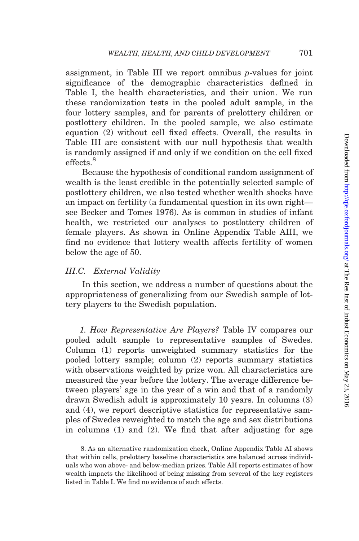assignment, in [Table III](#page-15-0) we report omnibus p-values for joint significance of the demographic characteristics defined in [Table I,](#page-5-0) the health characteristics, and their union. We run these randomization tests in the pooled adult sample, in the four lottery samples, and for parents of prelottery children or postlottery children. In the pooled sample, we also estimate [equation \(2\)](#page-13-0) without cell fixed effects. Overall, the results in [Table III](#page-15-0) are consistent with our null hypothesis that wealth is randomly assigned if and only if we condition on the cell fixed effects.<sup>8</sup>

Because the hypothesis of conditional random assignment of wealth is the least credible in the potentially selected sample of postlottery children, we also tested whether wealth shocks have an impact on fertility (a fundamental question in its own right see [Becker and Tomes 1976\)](#page-48-0). As is common in studies of infant health, we restricted our analyses to postlottery children of female players. As shown in [Online Appendix Table AIII](http://qje.oxfordjournals.org/lookup/suppl/doi:10.1093/qje/qjw001/-/DC1), we find no evidence that lottery wealth affects fertility of women below the age of 50.

### III.C. External Validity

In this section, we address a number of questions about the appropriateness of generalizing from our Swedish sample of lottery players to the Swedish population.

1. How Representative Are Players? [Table IV](#page-16-0) compares our pooled adult sample to representative samples of Swedes. Column (1) reports unweighted summary statistics for the pooled lottery sample; column (2) reports summary statistics with observations weighted by prize won. All characteristics are measured the year before the lottery. The average difference between players' age in the year of a win and that of a randomly drawn Swedish adult is approximately 10 years. In columns (3) and (4), we report descriptive statistics for representative samples of Swedes reweighted to match the age and sex distributions in columns (1) and (2). We find that after adjusting for age

<sup>8.</sup> As an alternative randomization check, [Online Appendix Table AI](http://qje.oxfordjournals.org/lookup/suppl/doi:10.1093/qje/qjw001/-/DC1) shows that within cells, prelottery baseline characteristics are balanced across individuals who won above- and below-median prizes. [Table AII](http://qje.oxfordjournals.org/lookup/suppl/doi:10.1093/qje/qjw001/-/DC1) reports estimates of how wealth impacts the likelihood of being missing from several of the key registers listed in [Table I.](#page-5-0) We find no evidence of such effects.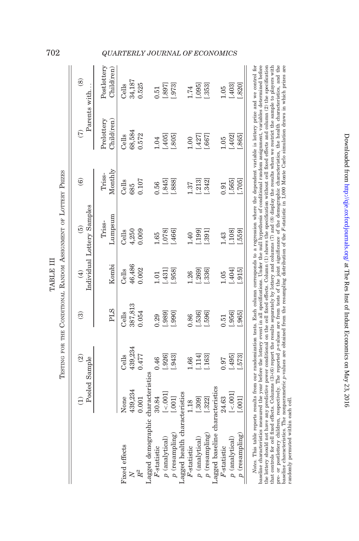|                                 | Э               | $\widehat{2}$<br>Pooled Sample | ම          | $\widehat{E}$ | Individual Lottery Samples<br>ම | $\widehat{\mathbf{6}}$ | $\widehat{C}$            | $\circledS$<br>Parents with |
|---------------------------------|-----------------|--------------------------------|------------|---------------|---------------------------------|------------------------|--------------------------|-----------------------------|
|                                 |                 |                                | <b>PLS</b> | Kombi         | Lumpsum<br>Triss-               | Monthly<br>Triss-      | Prelottery<br>Child(ren) | Postlottery<br>Child(ren)   |
| Fixed effects                   | None            | Cells                          | Cells      | Cells         | Cells                           | Cells                  | Cells                    | Cells                       |
| $\mathsf{X}$                    | 439,234         | 439,234                        | 387,813    | 46,486        | 4,250                           | 685                    | 68,584                   | 34,187                      |
| $\ensuremath{R}^2$              | 0.001           | 0.477                          | 0.054      | 0.002         | 0.009                           | 0.107                  | 0.572                    | 0.525                       |
| Lagged demographic              | characteristics |                                |            |               |                                 |                        |                          |                             |
| $F$ -statistic                  | 30.84           | 0.46                           | 0.29       | $-0.1$        | 65                              | 0.56                   | 0.04                     | 0.51                        |
| $p$ (analytical)                | $[-001]$        | [.926]                         | .989]      | [131]         | .078]                           | [.845]                 | [.405]                   | (.897)                      |
| $p$ (resampling)                | [.001]          | .943                           | [066       | .958]         | .466]                           | .888                   | .805                     | .973]                       |
| Lagged health characteristics   |                 |                                |            |               |                                 |                        |                          |                             |
| $F$ -statistic                  | 1.18            | 0.66                           | 0.86       | <b>1.26</b>   | 1.40                            | 1.37                   | 0.00                     | 1.74                        |
| $p$ (analytical)                | [.309]          | [.114]                         | .536]      | .269          | [.199]                          | $[.213]$               | [.427]                   | [.095]                      |
| $p$ (resampling)                | [.322]          | .163                           | .596]      | .336]         | .391]                           | $-.342]$               | .667                     | .353]                       |
| Lagged baseline characteristics |                 |                                |            |               |                                 |                        |                          |                             |
| F-statistic                     | 24.63           | 0.97                           | 0.51       | 1.05          | 1.43                            | 0.91                   | 1.05                     | 1.05                        |
| $p$ (analytical)                | $[-001]$        | [.495]                         | .956       | [404]         | [.108]                          | [.565]                 | [.402]                   | [.403]                      |
| $p$ (resampling)                | [1000]          | .573                           | .965       | .915          | .559]                           | [.705]                 | .865                     | 820]                        |

baseline characteristics measured the year before the lottery event in all specifications. Under the null hypothesis of conditional random assignment, variables determined before the lottery should not have any predictive pre- or postlottery children, respectively. The reported p-values are from tests of the joint significance of the demographic characteristics, the health characteristics, and the basilie characteristics, and the space of t that controls for cell fixed effects. Columns (3)-(6) report the results separately by lottery and columns (7) and (8) display the results when we restrict the sample to players with baseline characteristics measured the year before the lottery event in all specifications. Under the null hypothesis of conditional random assignment, variables determined before the lottery should not have any predictive power conditional on the cell fixed effects. Column (1) shows the specification without cell fixed effects and column (2) the specification that controls for cell fixed effects. Columns (3)-(6) report the results separately by lottery and columns (7) and (8) display the results when we restrict the sample to players with pre- or postlottery children, respectively. The reported p-values are from tests of the joint significance of the demographic characteristics, the health characteristics, and the baseline characteristics. The nonparametric p-values are obtained from the resampling distribution of the F-statistic in 1,000 Monte Carlo simulation draws in which prizes are randomly permuted within each cell. randomly permuted within each cell.

TABLE III

TABLE III

# <span id="page-15-0"></span>702 QUARTERLY JOURNAL OF ECONOMICS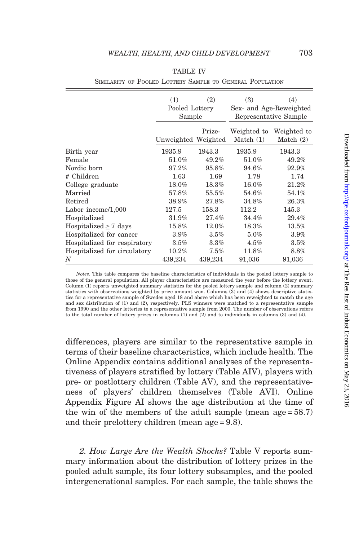<span id="page-16-0"></span>

|                              | (1)<br>Pooled Lottery<br>Sample | (2)     | (3)                        | (4)<br>Sex- and Age-Reweighted<br>Representative Sample |
|------------------------------|---------------------------------|---------|----------------------------|---------------------------------------------------------|
|                              | Unweighted Weighted             | Prize-  | Weighted to<br>Match $(1)$ | Weighted to<br>Match $(2)$                              |
| Birth year                   | 1935.9                          | 1943.3  | 1935.9                     | 1943.3                                                  |
| Female                       | 51.0%                           | 49.2%   | 51.0%                      | 49.2%                                                   |
| Nordic born                  | 97.2%                           | 95.8%   | 94.6%                      | 92.9%                                                   |
| # Children                   | 1.63                            | 1.69    | 1.78                       | 1.74                                                    |
| College graduate             | $18.0\%$                        | 18.3%   | $16.0\%$                   | 21.2%                                                   |
| Married                      | 57.8%                           | 55.5%   | $54.6\%$                   | 54.1%                                                   |
| Retired                      | 38.9%                           | 27.8%   | $34.8\%$                   | 26.3%                                                   |
| Labor income/1,000           | 127.5                           | 158.3   | 112.2                      | 145.3                                                   |
| Hospitalized                 | 31.9%                           | 27.4%   | $34.4\%$                   | 29.4%                                                   |
| Hospitalized $\geq 7$ days   | 15.8%                           | 12.0%   | 18.3%                      | $13.5\%$                                                |
| Hospitalized for cancer      | 3.9%                            | 3.5%    | 5.0%                       | 3.9%                                                    |
| Hospitalized for respiratory | 3.5%                            | 3.3%    | 4.5%                       | 3.5%                                                    |
| Hospitalized for circulatory | $10.2\%$                        | 7.5%    | 11.8%                      | 8.8%                                                    |
| N                            | 439,234                         | 439,234 | 91,036                     | 91,036                                                  |

|--|--|

SIMILARITY OF POOLED LOTTERY SAMPLE TO GENERAL POPULATION

Notes. This table compares the baseline characteristics of individuals in the pooled lottery sample to those of the general population. All player characteristics are measured the year before the lottery event. Column (1) reports unweighted summary statistics for the pooled lottery sample and column (2) summary statistics with observations weighted by prize amount won. Columns (3) and (4) shows descriptive statistics for a representative sample of Swedes aged 18 and above which has been reweighted to match the age and sex distribution of (1) and (2), respectively. PLS winners were matched to a representative sample from 1990 and the other lotteries to a representative sample from 2000. The number of observations refers to the total number of lottery prizes in columns (1) and (2) and to individuals in columns (3) and (4).

differences, players are similar to the representative sample in terms of their baseline characteristics, which include health. The [Online Appendix](http://qje.oxfordjournals.org/lookup/suppl/doi:10.1093/qje/qjw001/-/DC1) contains additional analyses of the representativeness of players stratified by lottery [\(Table AIV](http://qje.oxfordjournals.org/lookup/suppl/doi:10.1093/qje/qjw001/-/DC1)), players with pre- or postlottery children [\(Table AV\)](http://qje.oxfordjournals.org/lookup/suppl/doi:10.1093/qje/qjw001/-/DC1), and the representativeness of players' children themselves [\(Table AVI\)](http://qje.oxfordjournals.org/lookup/suppl/doi:10.1093/qje/qjw001/-/DC1). [Online](http://qje.oxfordjournals.org/lookup/suppl/doi:10.1093/qje/qjw001/-/DC1) [Appendix Figure AI](http://qje.oxfordjournals.org/lookup/suppl/doi:10.1093/qje/qjw001/-/DC1) shows the age distribution at the time of the win of the members of the adult sample (mean age  $= 58.7$ ) and their prelottery children (mean age = 9.8).

2. How Large Are the Wealth Shocks? [Table V](#page-17-0) reports summary information about the distribution of lottery prizes in the pooled adult sample, its four lottery subsamples, and the pooled intergenerational samples. For each sample, the table shows the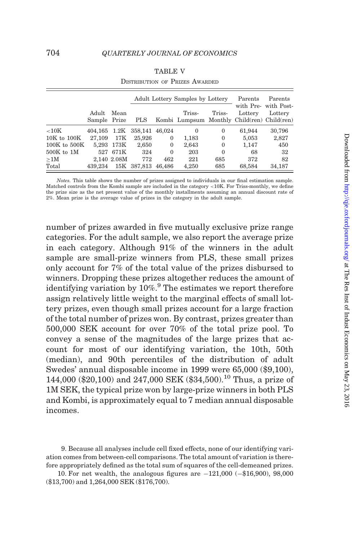<span id="page-17-0"></span>

|                  |                       |             |                |              | Adult Lottery Samples by Lottery                      |          | Parents              | Parents               |
|------------------|-----------------------|-------------|----------------|--------------|-------------------------------------------------------|----------|----------------------|-----------------------|
|                  | Adult<br>Sample Prize | Mean        | <b>PLS</b>     |              | Triss-<br>Kombi Lumpsum Monthly Child(ren) Child(ren) | Triss-   | with Pre-<br>Lottery | with Post-<br>Lottery |
| ${<}10K$         | 404.165 1.2K          |             | 358.141 46.024 |              | $\Omega$                                              | 0        | 61.944               | 30.796                |
| $10K$ to $100K$  | 27.109                | 17K         | 25.926         | $\mathbf{0}$ | 1.183                                                 | $\Omega$ | 5,053                | 2,827                 |
| $100K$ to $500K$ |                       | 5.293 173K  | 2,650          | $\mathbf{0}$ | 2,643                                                 | $\Omega$ | 1,147                | 450                   |
| $500K$ to $1M$   | 527                   | 671K        | 324            | $\Omega$     | 203                                                   | $\Omega$ | 68                   | 32                    |
| >1M              |                       | 2.140 2.08M | 772            | 462          | 221                                                   | 685      | 372                  | 82                    |
| Total            | 439.234               |             | 15K 387.813    | 46.486       | 4,250                                                 | 685      | 68,584               | 34,187                |

| <b>TABLE V</b>                        |  |
|---------------------------------------|--|
| <b>DISTRIBUTION OF PRIZES AWARDED</b> |  |

Notes. This table shows the number of prizes assigned to individuals in our final estimation sample. Matched controls from the Kombi sample are included in the category <10K. For Triss-monthly, we define the prize size as the net present value of the monthly installments assuming an annual discount rate of 2%. Mean prize is the average value of prizes in the category in the adult sample.

number of prizes awarded in five mutually exclusive prize range categories. For the adult sample, we also report the average prize in each category. Although 91% of the winners in the adult sample are small-prize winners from PLS, these small prizes only account for 7% of the total value of the prizes disbursed to winners. Dropping these prizes altogether reduces the amount of identifying variation by 10%.<sup>9</sup> The estimates we report therefore assign relatively little weight to the marginal effects of small lottery prizes, even though small prizes account for a large fraction of the total number of prizes won. By contrast, prizes greater than 500,000 SEK account for over 70% of the total prize pool. To convey a sense of the magnitudes of the large prizes that account for most of our identifying variation, the 10th, 50th (median), and 90th percentiles of the distribution of adult Swedes' annual disposable income in 1999 were 65,000 (\$9,100), 144,000 (\$20,100) and 247,000 SEK (\$34,500).<sup>10</sup> Thus, a prize of 1M SEK, the typical prize won by large-prize winners in both PLS and Kombi, is approximately equal to 7 median annual disposable incomes.

<sup>9.</sup> Because all analyses include cell fixed effects, none of our identifying variation comes from between-cell comparisons. The total amount of variation is therefore appropriately defined as the total sum of squares of the cell-demeaned prizes.

<sup>10.</sup> For net wealth, the analogous figures are  $-121,000$  ( $-16,900$ ), 98,000 (\$13,700) and 1,264,000 SEK (\$176,700).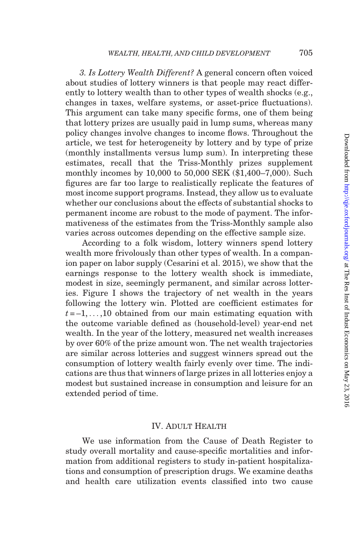3. Is Lottery Wealth Different? A general concern often voiced about studies of lottery winners is that people may react differently to lottery wealth than to other types of wealth shocks (e.g., changes in taxes, welfare systems, or asset-price fluctuations). This argument can take many specific forms, one of them being that lottery prizes are usually paid in lump sums, whereas many policy changes involve changes to income flows. Throughout the article, we test for heterogeneity by lottery and by type of prize (monthly installments versus lump sum). In interpreting these estimates, recall that the Triss-Monthly prizes supplement monthly incomes by 10,000 to 50,000 SEK (\$1,400–7,000). Such figures are far too large to realistically replicate the features of most income support programs. Instead, they allow us to evaluate whether our conclusions about the effects of substantial shocks to permanent income are robust to the mode of payment. The informativeness of the estimates from the Triss-Monthly sample also varies across outcomes depending on the effective sample size.

According to a folk wisdom, lottery winners spend lottery wealth more frivolously than other types of wealth. In a companion paper on labor supply [\(Cesarini et al. 2015](#page-49-0)), we show that the earnings response to the lottery wealth shock is immediate, modest in size, seemingly permanent, and similar across lotteries. [Figure I](#page-19-0) shows the trajectory of net wealth in the years following the lottery win. Plotted are coefficient estimates for  $t = -1, \ldots, 10$  obtained from our main estimating equation with the outcome variable defined as (household-level) year-end net wealth. In the year of the lottery, measured net wealth increases by over 60% of the prize amount won. The net wealth trajectories are similar across lotteries and suggest winners spread out the consumption of lottery wealth fairly evenly over time. The indications are thus that winners of large prizes in all lotteries enjoy a modest but sustained increase in consumption and leisure for an extended period of time.

## IV. Adult Health

We use information from the Cause of Death Register to study overall mortality and cause-specific mortalities and information from additional registers to study in-patient hospitalizations and consumption of prescription drugs. We examine deaths and health care utilization events classified into two cause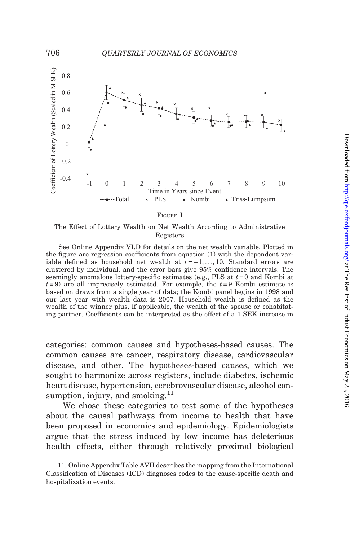

### FIGURE I

The Effect of Lottery Wealth on Net Wealth According to Administrative Registers

See [Online Appendix VI.D](http://qje.oxfordjournals.org/lookup/suppl/doi:10.1093/qje/qjw001/-/DC1) for details on the net wealth variable. Plotted in the figure are regression coefficients from [equation \(1\)](#page-10-0) with the dependent variable defined as household net wealth at  $t = -1, \ldots, 10$ . Standard errors are clustered by individual, and the error bars give 95% confidence intervals. The seemingly anomalous lottery-specific estimates (e.g., PLS at  $t = 0$  and Kombi at  $t = 9$ ) are all imprecisely estimated. For example, the  $t = 9$  Kombi estimate is based on draws from a single year of data; the Kombi panel begins in 1998 and our last year with wealth data is 2007. Household wealth is defined as the wealth of the winner plus, if applicable, the wealth of the spouse or cohabitating partner. Coefficients can be interpreted as the effect of a 1 SEK increase in

categories: common causes and hypotheses-based causes. The common causes are cancer, respiratory disease, cardiovascular disease, and other. The hypotheses-based causes, which we sought to harmonize across registers, include diabetes, ischemic heart disease, hypertension, cerebrovascular disease, alcohol consumption, injury, and smoking. $^{11}$ 

We chose these categories to test some of the hypotheses about the causal pathways from income to health that have been proposed in economics and epidemiology. Epidemiologists argue that the stress induced by low income has deleterious health effects, either through relatively proximal biological

<span id="page-19-0"></span>

<sup>11.</sup> [Online Appendix Table AVII](http://qje.oxfordjournals.org/lookup/suppl/doi:10.1093/qje/qjw001/-/DC1) describes the mapping from the International Classification of Diseases (ICD) diagnoses codes to the cause-specific death and hospitalization events.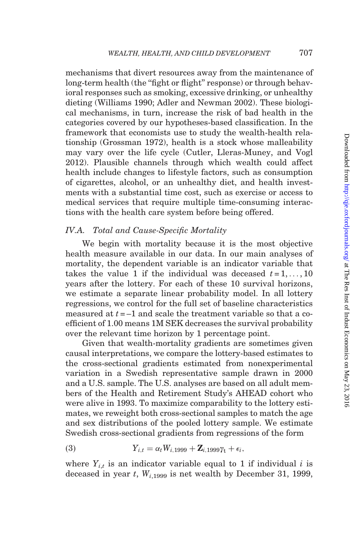mechanisms that divert resources away from the maintenance of long-term health (the "fight or flight" response) or through behavioral responses such as smoking, excessive drinking, or unhealthy dieting [\(Williams 1990;](#page-51-0) [Adler and Newman 2002](#page-48-0)). These biological mechanisms, in turn, increase the risk of bad health in the categories covered by our hypotheses-based classification. In the framework that economists use to study the wealth-health relationship [\(Grossman 1972\)](#page-50-0), health is a stock whose malleability may vary over the life cycle [\(Cutler, Lleras-Muney, and Vogl](#page-49-0) [2012\)](#page-49-0). Plausible channels through which wealth could affect health include changes to lifestyle factors, such as consumption of cigarettes, alcohol, or an unhealthy diet, and health investments with a substantial time cost, such as exercise or access to medical services that require multiple time-consuming interactions with the health care system before being offered.

# IV.A. Total and Cause-Specific Mortality

We begin with mortality because it is the most objective health measure available in our data. In our main analyses of mortality, the dependent variable is an indicator variable that takes the value 1 if the individual was deceased  $t = 1, \ldots, 10$ years after the lottery. For each of these 10 survival horizons, we estimate a separate linear probability model. In all lottery regressions, we control for the full set of baseline characteristics measured at  $t = -1$  and scale the treatment variable so that a coefficient of 1.00 means 1M SEK decreases the survival probability over the relevant time horizon by 1 percentage point.

Given that wealth-mortality gradients are sometimes given causal interpretations, we compare the lottery-based estimates to the cross-sectional gradients estimated from nonexperimental variation in a Swedish representative sample drawn in 2000 and a U.S. sample. The U.S. analyses are based on all adult members of the Health and Retirement Study's AHEAD cohort who were alive in 1993. To maximize comparability to the lottery estimates, we reweight both cross-sectional samples to match the age and sex distributions of the pooled lottery sample. We estimate Swedish cross-sectional gradients from regressions of the form

(3) 
$$
Y_{i,t} = \alpha_t W_{i,1999} + \mathbf{Z}_{i,1999} \gamma_t + \epsilon_i,
$$

where  $Y_{i,t}$  is an indicator variable equal to 1 if individual i is deceased in year t,  $W_{i,1999}$  is net wealth by December 31, 1999,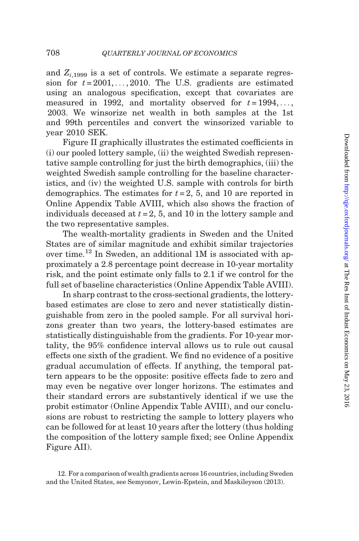and  $Z_{i,1999}$  is a set of controls. We estimate a separate regression for  $t = 2001, \ldots, 2010$ . The U.S. gradients are estimated using an analogous specification, except that covariates are measured in 1992, and mortality observed for  $t = 1994, \ldots$ , 2003. We winsorize net wealth in both samples at the 1st and 99th percentiles and convert the winsorized variable to year 2010 SEK.

[Figure II](#page-22-0) graphically illustrates the estimated coefficients in (i) our pooled lottery sample, (ii) the weighted Swedish representative sample controlling for just the birth demographics, (iii) the weighted Swedish sample controlling for the baseline characteristics, and (iv) the weighted U.S. sample with controls for birth demographics. The estimates for  $t = 2$ , 5, and 10 are reported in [Online Appendix Table AVIII](http://qje.oxfordjournals.org/lookup/suppl/doi:10.1093/qje/qjw001/-/DC1), which also shows the fraction of individuals deceased at  $t = 2, 5$ , and 10 in the lottery sample and the two representative samples.

The wealth-mortality gradients in Sweden and the United States are of similar magnitude and exhibit similar trajectories over time.12 In Sweden, an additional 1M is associated with approximately a 2.8 percentage point decrease in 10-year mortality risk, and the point estimate only falls to 2.1 if we control for the full set of baseline characteristics [\(Online Appendix Table AVIII](http://qje.oxfordjournals.org/lookup/suppl/doi:10.1093/qje/qjw001/-/DC1)).

In sharp contrast to the cross-sectional gradients, the lotterybased estimates are close to zero and never statistically distinguishable from zero in the pooled sample. For all survival horizons greater than two years, the lottery-based estimates are statistically distinguishable from the gradients. For 10-year mortality, the 95% confidence interval allows us to rule out causal effects one sixth of the gradient. We find no evidence of a positive gradual accumulation of effects. If anything, the temporal pattern appears to be the opposite: positive effects fade to zero and may even be negative over longer horizons. The estimates and their standard errors are substantively identical if we use the probit estimator [\(Online Appendix Table AVIII](http://qje.oxfordjournals.org/lookup/suppl/doi:10.1093/qje/qjw001/-/DC1)), and our conclusions are robust to restricting the sample to lottery players who can be followed for at least 10 years after the lottery (thus holding the composition of the lottery sample fixed; see [Online Appendix](http://qje.oxfordjournals.org/lookup/suppl/doi:10.1093/qje/qjw001/-/DC1) [Figure AII](http://qje.oxfordjournals.org/lookup/suppl/doi:10.1093/qje/qjw001/-/DC1)).

<sup>12.</sup> For a comparison of wealth gradients across 16 countries, including Sweden and the United States, see [Semyonov, Lewin-Epstein, and Maskileyson \(2013\).](#page-51-0)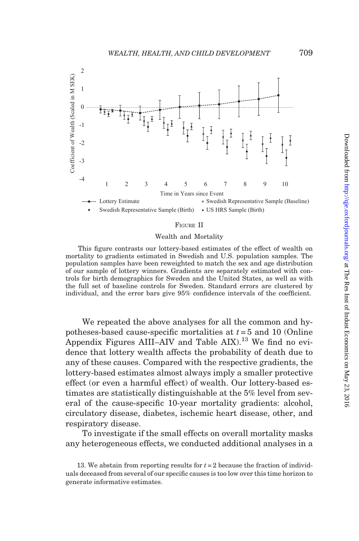<span id="page-22-0"></span>

### FIGURE II

### Wealth and Mortality

This figure contrasts our lottery-based estimates of the effect of wealth on mortality to gradients estimated in Swedish and U.S. population samples. The population samples have been reweighted to match the sex and age distribution of our sample of lottery winners. Gradients are separately estimated with controls for birth demographics for Sweden and the United States, as well as with the full set of baseline controls for Sweden. Standard errors are clustered by individual, and the error bars give 95% confidence intervals of the coefficient.

We repeated the above analyses for all the common and hypotheses-based cause-specific mortalities at  $t = 5$  and 10 [\(Online](http://qje.oxfordjournals.org/lookup/suppl/doi:10.1093/qje/qjw001/-/DC1) [Appendix Figures AIII–AIV](http://qje.oxfordjournals.org/lookup/suppl/doi:10.1093/qje/qjw001/-/DC1) and Table  $AIX$ ).<sup>13</sup> We find no evidence that lottery wealth affects the probability of death due to any of these causes. Compared with the respective gradients, the lottery-based estimates almost always imply a smaller protective effect (or even a harmful effect) of wealth. Our lottery-based estimates are statistically distinguishable at the 5% level from several of the cause-specific 10-year mortality gradients: alcohol, circulatory disease, diabetes, ischemic heart disease, other, and respiratory disease.

To investigate if the small effects on overall mortality masks any heterogeneous effects, we conducted additional analyses in a

<sup>13.</sup> We abstain from reporting results for  $t = 2$  because the fraction of individuals deceased from several of our specific causes is too low over this time horizon to generate informative estimates.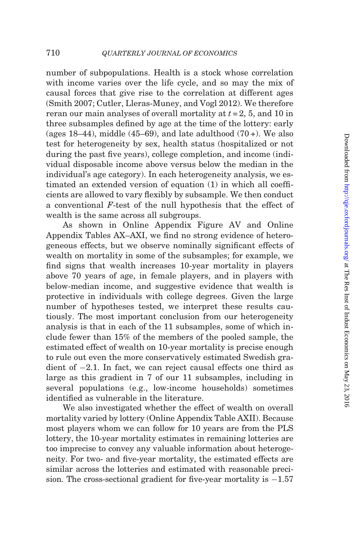number of subpopulations. Health is a stock whose correlation with income varies over the life cycle, and so may the mix of causal forces that give rise to the correlation at different ages ([Smith 2007](#page-51-0); [Cutler, Lleras-Muney, and Vogl 2012\)](#page-49-0). We therefore reran our main analyses of overall mortality at  $t = 2$ , 5, and 10 in three subsamples defined by age at the time of the lottery: early (ages  $18-44$ ), middle (45–69), and late adulthood (70+). We also test for heterogeneity by sex, health status (hospitalized or not during the past five years), college completion, and income (individual disposable income above versus below the median in the individual's age category). In each heterogeneity analysis, we estimated an extended version of [equation \(1\)](#page-10-0) in which all coefficients are allowed to vary flexibly by subsample. We then conduct a conventional F-test of the null hypothesis that the effect of wealth is the same across all subgroups.

As shown in [Online Appendix Figure AV](http://qje.oxfordjournals.org/lookup/suppl/doi:10.1093/qje/qjw001/-/DC1) and [Online](http://qje.oxfordjournals.org/lookup/suppl/doi:10.1093/qje/qjw001/-/DC1) [Appendix Tables AX–AXI](http://qje.oxfordjournals.org/lookup/suppl/doi:10.1093/qje/qjw001/-/DC1), we find no strong evidence of heterogeneous effects, but we observe nominally significant effects of wealth on mortality in some of the subsamples; for example, we find signs that wealth increases 10-year mortality in players above 70 years of age, in female players, and in players with below-median income, and suggestive evidence that wealth is protective in individuals with college degrees. Given the large number of hypotheses tested, we interpret these results cautiously. The most important conclusion from our heterogeneity analysis is that in each of the 11 subsamples, some of which include fewer than 15% of the members of the pooled sample, the estimated effect of wealth on 10-year mortality is precise enough to rule out even the more conservatively estimated Swedish gradient of  $-2.1$ . In fact, we can reject causal effects one third as large as this gradient in 7 of our 11 subsamples, including in several populations (e.g., low-income households) sometimes identified as vulnerable in the literature.

We also investigated whether the effect of wealth on overall mortality varied by lottery [\(Online Appendix Table AXII\)](http://qje.oxfordjournals.org/lookup/suppl/doi:10.1093/qje/qjw001/-/DC1). Because most players whom we can follow for 10 years are from the PLS lottery, the 10-year mortality estimates in remaining lotteries are too imprecise to convey any valuable information about heterogeneity. For two- and five-year mortality, the estimated effects are similar across the lotteries and estimated with reasonable precision. The cross-sectional gradient for five-year mortality is  $-1.57$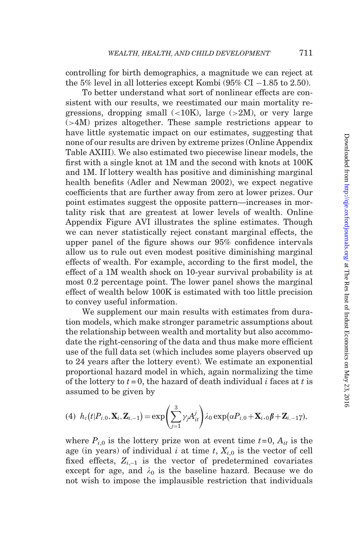<span id="page-24-0"></span>controlling for birth demographics, a magnitude we can reject at the 5% level in all lotteries except Kombi  $(95\% \text{ CI} - 1.85 \text{ to } 2.50)$ .

To better understand what sort of nonlinear effects are consistent with our results, we reestimated our main mortality regressions, dropping small  $\langle$  ( $\times$ 10K), large ( $\times$ 2M), or very large (>4M) prizes altogether. These sample restrictions appear to have little systematic impact on our estimates, suggesting that none of our results are driven by extreme prizes [\(Online Appendix](http://qje.oxfordjournals.org/lookup/suppl/doi:10.1093/qje/qjw001/-/DC1) [Table AXIII](http://qje.oxfordjournals.org/lookup/suppl/doi:10.1093/qje/qjw001/-/DC1)). We also estimated two piecewise linear models, the first with a single knot at 1M and the second with knots at 100K and 1M. If lottery wealth has positive and diminishing marginal health benefits [\(Adler and Newman 2002](#page-48-0)), we expect negative coefficients that are further away from zero at lower prizes. Our point estimates suggest the opposite pattern—increases in mortality risk that are greatest at lower levels of wealth. [Online](http://qje.oxfordjournals.org/lookup/suppl/doi:10.1093/qje/qjw001/-/DC1) [Appendix Figure AVI](http://qje.oxfordjournals.org/lookup/suppl/doi:10.1093/qje/qjw001/-/DC1) illustrates the spline estimates. Though we can never statistically reject constant marginal effects, the upper panel of the figure shows our 95% confidence intervals allow us to rule out even modest positive diminishing marginal effects of wealth. For example, according to the first model, the effect of a 1M wealth shock on 10-year survival probability is at most 0.2 percentage point. The lower panel shows the marginal effect of wealth below 100K is estimated with too little precision to convey useful information.

We supplement our main results with estimates from duration models, which make stronger parametric assumptions about the relationship between wealth and mortality but also accommodate the right-censoring of the data and thus make more efficient use of the full data set (which includes some players observed up to 24 years after the lottery event). We estimate an exponential proportional hazard model in which, again normalizing the time of the lottery to  $t = 0$ , the hazard of death individual i faces at t is assumed to be given by

(4) 
$$
h_i(t|P_{i,0}, \mathbf{X}_i, \mathbf{Z}_{i,-1}) = \exp\left(\sum_{j=1}^3 \gamma_j A_{it}^j\right) \lambda_0 \exp(\alpha P_{i,0} + \mathbf{X}_i, 0, \beta + \mathbf{Z}_{i,-1} \gamma),
$$

where  $P_{i,0}$  is the lottery prize won at event time  $t=0$ ,  $A_{it}$  is the age (in years) of individual i at time t,  $X_{i,0}$  is the vector of cell fixed effects,  $Z_{i-1}$  is the vector of predetermined covariates except for age, and  $\lambda_0$  is the baseline hazard. Because we do not wish to impose the implausible restriction that individuals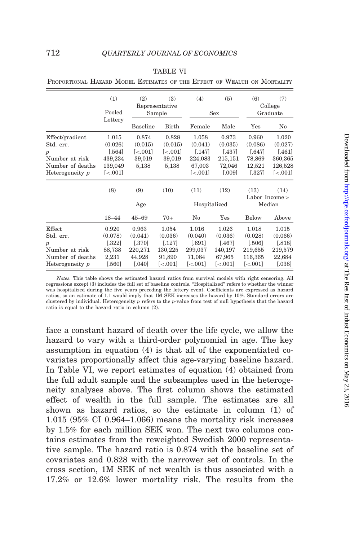|                  | (1)                     | (2)                     | (3)<br>Representative  | (4)                     | (5)                    | (6)                    | (7)<br>College           |
|------------------|-------------------------|-------------------------|------------------------|-------------------------|------------------------|------------------------|--------------------------|
|                  | Pooled                  |                         | Sample                 |                         | Sex                    |                        | Graduate                 |
|                  | Lottery                 | Baseline                | Birth                  | Female                  | Male                   | Yes                    | No                       |
| Effect/gradient  | 1.015                   | 0.874                   | 0.828                  | 1.058                   | 0.973                  | 0.960                  | 1.020                    |
| Std. err.        | (0.026)                 | (0.015)                 | (0.015)                | (0.041)                 | (0.035)                | (0.086)                | (0.027)                  |
| $\boldsymbol{p}$ | [.564]                  | $\left[ < .001 \right]$ | $\left[ <.001 \right]$ | [.147]                  | [.437]                 | [.647]                 | $[.461]$                 |
| Number at risk   | 439,234                 | 39,019                  | 39,019                 | 224,083                 | 215,151                | 78,869                 | 360,365                  |
| Number of deaths | 139,049                 | 5,138                   | 5,138                  | 67,003                  | 72,046                 | 12,521                 | 126,528                  |
| Heterogeneity p  | $\left[ < .001 \right]$ |                         |                        | $\left[ < .001 \right]$ | [.009]                 | [.327]                 | $\left[ < .001 \right]$  |
|                  | (8)                     | (9)                     | (10)                   | (11)                    | (12)                   | (13)                   | (14)<br>Labor Income $>$ |
|                  |                         | Age                     |                        | Hospitalized            |                        |                        | Median                   |
|                  | $18 - 44$               | $45 - 69$               | $70+$                  | No                      | Yes                    | Below                  | Above                    |
| Effect           | 0.920                   | 0.963                   | 1.054                  | 1.016                   | 1.026                  | 1.018                  | 1.015                    |
| Std. err.        | (0.078)                 | (0.041)                 | (0.036)                | (0.040)                 | (0.036)                | (0.028)                | (0.066)                  |
| $\boldsymbol{p}$ | [.322]                  | $[.370]$                | $[.127]$               | [.691]                  | [.467]                 | [.506]                 | [.818]                   |
| Number at risk   | 88,738                  | 220,271                 | 130,225                | 299,037                 | 140,197                | 219,655                | 219,579                  |
| Number of deaths | 2,231                   | 44,928                  | 91,890                 | 71,084                  | 67,965                 | 116,365                | 22,684                   |
| Heterogeneity p  | [.560]                  | 0.040                   | $\left[ <.001 \right]$ | $\left[ <.001 \right]$  | $\left[ <.001 \right]$ | $\left[ <.001 \right]$ | [.038]                   |

PROPORTIONAL HAZARD MODEL ESTIMATES OF THE EFFECT OF WEALTH ON MORTALITY

Notes. This table shows the estimated hazard ratios from survival models with right censoring. All regressions except (3) includes the full set of baseline controls. ''Hospitalized'' refers to whether the winner was hospitalized during the five years preceding the lottery event. Coefficients are expressed as hazard ratios, so an estimate of 1.1 would imply that 1M SEK increases the hazard by 10%. Standard errors are clustered by individual. Heterogeneity p refers to the p-value from test of null hypothesis that the hazard ratio is equal to the hazard ratio in column (2).

face a constant hazard of death over the life cycle, we allow the hazard to vary with a third-order polynomial in age. The key assumption in [equation \(4\)](#page-24-0) is that all of the exponentiated covariates proportionally affect this age-varying baseline hazard. In Table VI, we report estimates of [equation \(4\)](#page-24-0) obtained from the full adult sample and the subsamples used in the heterogeneity analyses above. The first column shows the estimated effect of wealth in the full sample. The estimates are all shown as hazard ratios, so the estimate in column (1) of 1.015 (95% CI 0.964–1.066) means the mortality risk increases by 1.5% for each million SEK won. The next two columns contains estimates from the reweighted Swedish 2000 representative sample. The hazard ratio is 0.874 with the baseline set of covariates and 0.828 with the narrower set of controls. In the cross section, 1M SEK of net wealth is thus associated with a 17.2% or 12.6% lower mortality risk. The results from the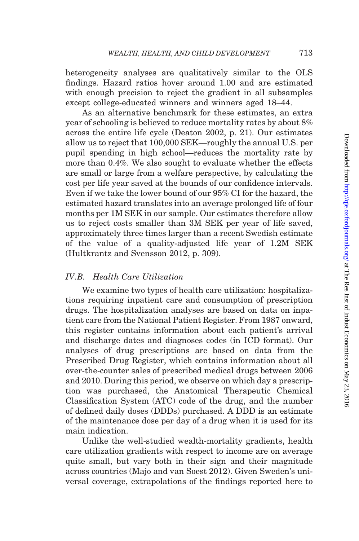heterogeneity analyses are qualitatively similar to the OLS findings. Hazard ratios hover around 1.00 and are estimated with enough precision to reject the gradient in all subsamples except college-educated winners and winners aged 18–44.

As an alternative benchmark for these estimates, an extra year of schooling is believed to reduce mortality rates by about 8% across the entire life cycle ([Deaton 2002,](#page-49-0) p. 21). Our estimates allow us to reject that 100,000 SEK—roughly the annual U.S. per pupil spending in high school—reduces the mortality rate by more than 0.4%. We also sought to evaluate whether the effects are small or large from a welfare perspective, by calculating the cost per life year saved at the bounds of our confidence intervals. Even if we take the lower bound of our 95% CI for the hazard, the estimated hazard translates into an average prolonged life of four months per 1M SEK in our sample. Our estimates therefore allow us to reject costs smaller than 3M SEK per year of life saved, approximately three times larger than a recent Swedish estimate of the value of a quality-adjusted life year of 1.2M SEK [\(Hultkrantz and Svensson 2012](#page-50-0), p. 309).

# IV.B. Health Care Utilization

We examine two types of health care utilization: hospitalizations requiring inpatient care and consumption of prescription drugs. The hospitalization analyses are based on data on inpatient care from the National Patient Register. From 1987 onward, this register contains information about each patient's arrival and discharge dates and diagnoses codes (in ICD format). Our analyses of drug prescriptions are based on data from the Prescribed Drug Register, which contains information about all over-the-counter sales of prescribed medical drugs between 2006 and 2010. During this period, we observe on which day a prescription was purchased, the Anatomical Therapeutic Chemical Classification System (ATC) code of the drug, and the number of defined daily doses (DDDs) purchased. A DDD is an estimate of the maintenance dose per day of a drug when it is used for its main indication.

Unlike the well-studied wealth-mortality gradients, health care utilization gradients with respect to income are on average quite small, but vary both in their sign and their magnitude across countries ([Majo and van Soest 2012\)](#page-50-0). Given Sweden's universal coverage, extrapolations of the findings reported here to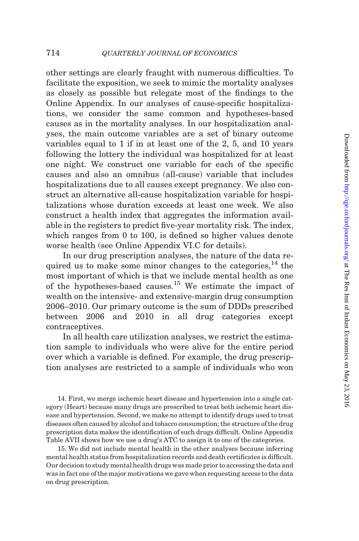other settings are clearly fraught with numerous difficulties. To facilitate the exposition, we seek to mimic the mortality analyses as closely as possible but relegate most of the findings to the [Online Appendix.](http://qje.oxfordjournals.org/lookup/suppl/doi:10.1093/qje/qjw001/-/DC1) In our analyses of cause-specific hospitalizations, we consider the same common and hypotheses-based causes as in the mortality analyses. In our hospitalization analyses, the main outcome variables are a set of binary outcome variables equal to 1 if in at least one of the 2, 5, and 10 years following the lottery the individual was hospitalized for at least one night. We construct one variable for each of the specific causes and also an omnibus (all-cause) variable that includes hospitalizations due to all causes except pregnancy. We also construct an alternative all-cause hospitalization variable for hospitalizations whose duration exceeds at least one week. We also construct a health index that aggregates the information available in the registers to predict five-year mortality risk. The index, which ranges from 0 to 100, is defined so higher values denote worse health (see [Online Appendix VI.C](http://qje.oxfordjournals.org/lookup/suppl/doi:10.1093/qje/qjw001/-/DC1) for details).

In our drug prescription analyses, the nature of the data required us to make some minor changes to the categories, $^{14}$  the most important of which is that we include mental health as one of the hypotheses-based causes.<sup>15</sup> We estimate the impact of wealth on the intensive- and extensive-margin drug consumption 2006–2010. Our primary outcome is the sum of DDDs prescribed between 2006 and 2010 in all drug categories except contraceptives.

In all health care utilization analyses, we restrict the estimation sample to individuals who were alive for the entire period over which a variable is defined. For example, the drug prescription analyses are restricted to a sample of individuals who won

14. First, we merge ischemic heart disease and hypertension into a single category (Heart) because many drugs are prescribed to treat both ischemic heart disease and hypertension. Second, we make no attempt to identify drugs used to treat diseases often caused by alcohol and tobacco consumption; the structure of the drug prescription data makes the identification of such drugs difficult. [Online Appendix](http://qje.oxfordjournals.org/lookup/suppl/doi:10.1093/qje/qjw001/-/DC1) [Table AVII](http://qje.oxfordjournals.org/lookup/suppl/doi:10.1093/qje/qjw001/-/DC1) shows how we use a drug's ATC to assign it to one of the categories.

15. We did not include mental health in the other analyses because inferring mental health status from hospitalization records and death certificates is difficult. Our decision to study mental health drugs was made prior to accessing the data and was in fact one of the major motivations we gave when requesting access to the data on drug prescription.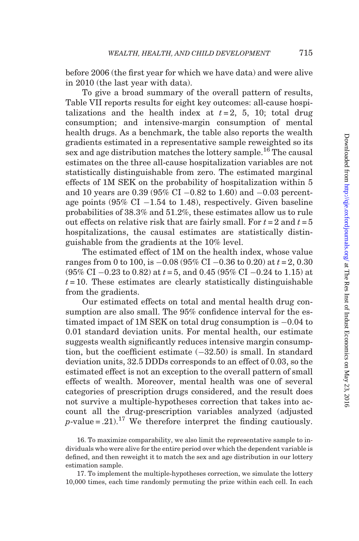before 2006 (the first year for which we have data) and were alive in 2010 (the last year with data).

To give a broad summary of the overall pattern of results, [Table VII](#page-29-0) reports results for eight key outcomes: all-cause hospitalizations and the health index at  $t = 2$ , 5, 10; total drug consumption; and intensive-margin consumption of mental health drugs. As a benchmark, the table also reports the wealth gradients estimated in a representative sample reweighted so its sex and age distribution matches the lottery sample.<sup>16</sup> The causal estimates on the three all-cause hospitalization variables are not statistically distinguishable from zero. The estimated marginal effects of 1M SEK on the probability of hospitalization within 5 and 10 years are 0.39 (95% CI  $-0.82$  to 1.60) and  $-0.03$  percentage points  $(95\% \text{ CI} - 1.54 \text{ to } 1.48)$ , respectively. Given baseline probabilities of 38.3% and 51.2%, these estimates allow us to rule out effects on relative risk that are fairly small. For  $t = 2$  and  $t = 5$ hospitalizations, the causal estimates are statistically distinguishable from the gradients at the 10% level.

The estimated effect of 1M on the health index, whose value ranges from 0 to 100, is  $-0.08$  (95% CI  $-0.36$  to 0.20) at  $t = 2, 0.30$  $(95\% \text{ CI } -0.23 \text{ to } 0.82)$  at  $t = 5$ , and 0.45 (95% CI  $-0.24 \text{ to } 1.15$ ) at  $t = 10$ . These estimates are clearly statistically distinguishable from the gradients.

Our estimated effects on total and mental health drug consumption are also small. The 95% confidence interval for the estimated impact of 1M SEK on total drug consumption is  $-0.04$  to 0.01 standard deviation units. For mental health, our estimate suggests wealth significantly reduces intensive margin consumption, but the coefficient estimate  $(-32.50)$  is small. In standard deviation units, 32.5 DDDs corresponds to an effect of 0.03, so the estimated effect is not an exception to the overall pattern of small effects of wealth. Moreover, mental health was one of several categories of prescription drugs considered, and the result does not survive a multiple-hypotheses correction that takes into account all the drug-prescription variables analyzed (adjusted  $p$ -value = .21).<sup>17</sup> We therefore interpret the finding cautiously.

16. To maximize comparability, we also limit the representative sample to individuals who were alive for the entire period over which the dependent variable is defined, and then reweight it to match the sex and age distribution in our lottery estimation sample.

17. To implement the multiple-hypotheses correction, we simulate the lottery 10,000 times, each time randomly permuting the prize within each cell. In each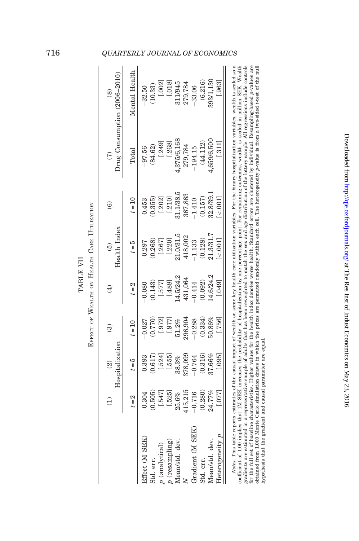|                                                                                                                                              |          |                                             |           | EFFECT OF WEALTH ON HEALTH CARE UTILIZATION |                               |           |               |                                                                                                                                                                                   |
|----------------------------------------------------------------------------------------------------------------------------------------------|----------|---------------------------------------------|-----------|---------------------------------------------|-------------------------------|-----------|---------------|-----------------------------------------------------------------------------------------------------------------------------------------------------------------------------------|
|                                                                                                                                              |          | Hospitalization<br>$\widehat{\mathfrak{D}}$ | $\approx$ |                                             | Health Index<br>$\widehat{5}$ | ₢         | $\widehat{C}$ | Drug Consumption (2006-2010)<br>∞                                                                                                                                                 |
|                                                                                                                                              | $t=2$    | $t=5$                                       | $t = 10$  | $t=2$                                       | $t = 5$                       | $t = 10$  | $\rm Total$   | Mental Health                                                                                                                                                                     |
| Effect (M SEK)                                                                                                                               | 0.304    | 0.393                                       | $-0.027$  | 0.080                                       | 0.297                         | 0.453     | $-97.56$      | $-32.50$                                                                                                                                                                          |
| Std. err.                                                                                                                                    | (0.505)  | 0.617                                       | (0.770)   | 0.143                                       | 0.268                         | 0.355)    | (84.62)       | 10.33                                                                                                                                                                             |
| $p$ (analytical)                                                                                                                             | [.547]   | $-.524]$                                    | [.972]    | [.577]                                      | [.267]                        | [.202]    | [.249]        | [.002]                                                                                                                                                                            |
| $p$ (resampling)                                                                                                                             | [.525]   | [.555]                                      | [.977]    | [.488]                                      | [.220]                        | [.210]    | [.268]        | [.018]                                                                                                                                                                            |
| Mean/std. dev.                                                                                                                               | 25.6%    | 38.3%                                       | 51.2%     | 4.5/24.2                                    | 21.0/31.5                     | 11.1/38.5 | 375/6,168     | 311/945                                                                                                                                                                           |
|                                                                                                                                              | 115,215  | 878,099                                     | :96,904   | 131,064                                     | 18,002                        | 367,863   | 279,784       | 279,784                                                                                                                                                                           |
| Gradient (M SEK)                                                                                                                             | $-0.716$ | $-0.764$                                    | $-0.288$  | 0.414                                       | 1.133                         | 1.410     | 194.15        | $-33.06$                                                                                                                                                                          |
| Std. err.                                                                                                                                    | 0.280)   | (0.316)                                     | (0.334)   | 0.092                                       | (0.128)                       | 0.157)    | (44.112)      | (6.216)                                                                                                                                                                           |
| Mean/std. dev.                                                                                                                               | 24.77%   | 37.66%                                      | 50.86%    | 4.6/24.2                                    | 21.3/31.7                     | 32.8/39.  | .659/6.500    | 393/1,130                                                                                                                                                                         |
| Heterogeneity                                                                                                                                | [.077]   | [.095]                                      | [.756]    | .049                                        | 001                           |           | 1.311         | .963                                                                                                                                                                              |
| oofficial of 100 implies that 1M QRK incorporation at population for proposition in a proposition of the controller in collect the CRK Mooth |          |                                             |           |                                             |                               |           |               | Notes. This table reports estimates of the causal impact of wealth on some key health care utilization variables. For the binary hospitalization variables, wealth is scaled so a |

coefficient of 1.00 implies that IM SEK increases the probability of hospitalization by one percentage point. For remaining outcomes, wealth is scaled in milion SEK. Wealth<br>for the states are estimated in a representions coefficient of 1.00 implies that 1M SEK increases the probability of hospitalization by one percentage point. For remaining outcomes, wealth is scaled in million SEK. Wealth gradients are estimated in a representative sample of adults that has been reweighted to match the sex and age distribution of the lottery sample. All regressions include controls for the full set of baseline characteristics. Higher values for the health index denotes worse health. Standard errors are clustered by individual. Resampling-based p-values are obtained from 1,000 Monte Carlo simulation draws in which the prizes are permuted randomly within each cell. The heterogeneity p-value is from a two-sided t-test of the null hypothesis that the gradient and causal parameter are equal. hypothesis that the gradient and causal parameter are equal.

Downloaded from <http://qje.oxfordjournals.org/> at The Res Inst of Indust Economics on May 23, 2016

Downloaded from http://qje.oxfordjournals.org/ at The Res Inst of Indust Economics on May 23, 2016

# <span id="page-29-0"></span>716 QUARTERLY JOURNAL OF ECONOMICS

TABLE VII

TABLE VII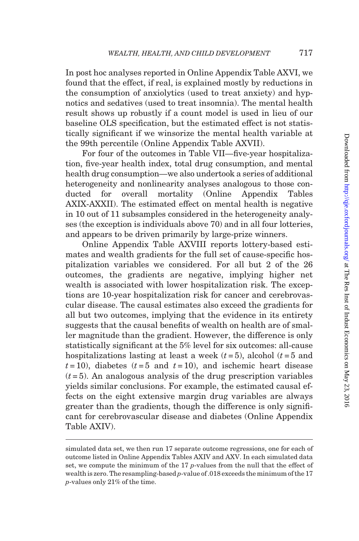In post hoc analyses reported in [Online Appendix Table AXVI,](http://qje.oxfordjournals.org/lookup/suppl/doi:10.1093/qje/qjw001/-/DC1) we found that the effect, if real, is explained mostly by reductions in the consumption of anxiolytics (used to treat anxiety) and hypnotics and sedatives (used to treat insomnia). The mental health result shows up robustly if a count model is used in lieu of our baseline OLS specification, but the estimated effect is not statistically significant if we winsorize the mental health variable at the 99th percentile ([Online Appendix Table AXVII\)](http://qje.oxfordjournals.org/lookup/suppl/doi:10.1093/qje/qjw001/-/DC1).

For four of the outcomes in [Table VII](#page-29-0)—five-year hospitalization, five-year health index, total drug consumption, and mental health drug consumption—we also undertook a series of additional heterogeneity and nonlinearity analyses analogous to those conducted for overall mortality [\(Online Appendix Tables](http://qje.oxfordjournals.org/lookup/suppl/doi:10.1093/qje/qjw001/-/DC1) [AXIX-AXXII\)](http://qje.oxfordjournals.org/lookup/suppl/doi:10.1093/qje/qjw001/-/DC1). The estimated effect on mental health is negative in 10 out of 11 subsamples considered in the heterogeneity analyses (the exception is individuals above 70) and in all four lotteries, and appears to be driven primarily by large-prize winners.

[Online Appendix Table AXVIII](http://qje.oxfordjournals.org/lookup/suppl/doi:10.1093/qje/qjw001/-/DC1) reports lottery-based estimates and wealth gradients for the full set of cause-specific hospitalization variables we considered. For all but 2 of the 26 outcomes, the gradients are negative, implying higher net wealth is associated with lower hospitalization risk. The exceptions are 10-year hospitalization risk for cancer and cerebrovascular disease. The causal estimates also exceed the gradients for all but two outcomes, implying that the evidence in its entirety suggests that the causal benefits of wealth on health are of smaller magnitude than the gradient. However, the difference is only statistically significant at the 5% level for six outcomes: all-cause hospitalizations lasting at least a week  $(t=5)$ , alcohol  $(t=5)$  and  $t = 10$ , diabetes  $(t = 5$  and  $t = 10$ , and ischemic heart disease  $(t=5)$ . An analogous analysis of the drug prescription variables yields similar conclusions. For example, the estimated causal effects on the eight extensive margin drug variables are always greater than the gradients, though the difference is only significant for cerebrovascular disease and diabetes [\(Online Appendix](http://qje.oxfordjournals.org/lookup/suppl/doi:10.1093/qje/qjw001/-/DC1) [Table AXIV\)](http://qje.oxfordjournals.org/lookup/suppl/doi:10.1093/qje/qjw001/-/DC1).

simulated data set, we then run 17 separate outcome regressions, one for each of outcome listed in [Online Appendix Tables AXIV](http://qje.oxfordjournals.org/lookup/suppl/doi:10.1093/qje/qjw001/-/DC1) and [AXV.](http://qje.oxfordjournals.org/lookup/suppl/doi:10.1093/qje/qjw001/-/DC1) In each simulated data set, we compute the minimum of the  $17$  p-values from the null that the effect of wealth is zero. The resampling-based p-value of .018 exceeds the minimum of the 17 p-values only 21% of the time.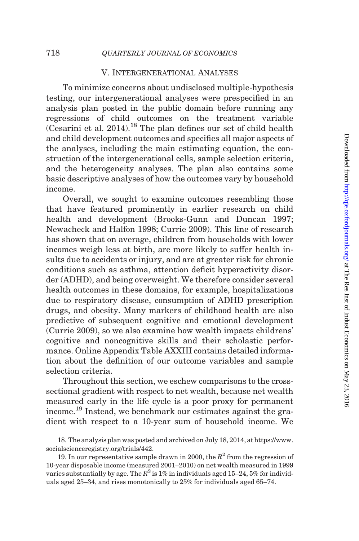### V. Intergenerational Analyses

To minimize concerns about undisclosed multiple-hypothesis testing, our intergenerational analyses were prespecified in an analysis plan posted in the public domain before running any regressions of child outcomes on the treatment variable  $(Cesarini et al. 2014).<sup>18</sup>$  $(Cesarini et al. 2014).<sup>18</sup>$  $(Cesarini et al. 2014).<sup>18</sup>$  The plan defines our set of child health and child development outcomes and specifies all major aspects of the analyses, including the main estimating equation, the construction of the intergenerational cells, sample selection criteria, and the heterogeneity analyses. The plan also contains some basic descriptive analyses of how the outcomes vary by household income.

Overall, we sought to examine outcomes resembling those that have featured prominently in earlier research on child health and development [\(Brooks-Gunn and Duncan 1997](#page-48-0); [Newacheck and Halfon 1998](#page-50-0); [Currie 2009](#page-49-0)). This line of research has shown that on average, children from households with lower incomes weigh less at birth, are more likely to suffer health insults due to accidents or injury, and are at greater risk for chronic conditions such as asthma, attention deficit hyperactivity disorder (ADHD), and being overweight. We therefore consider several health outcomes in these domains, for example, hospitalizations due to respiratory disease, consumption of ADHD prescription drugs, and obesity. Many markers of childhood health are also predictive of subsequent cognitive and emotional development ([Currie 2009\)](#page-49-0), so we also examine how wealth impacts childrens' cognitive and noncognitive skills and their scholastic performance. [Online Appendix Table AXXIII](http://qje.oxfordjournals.org/lookup/suppl/doi:10.1093/qje/qjw001/-/DC1) contains detailed information about the definition of our outcome variables and sample selection criteria.

Throughout this section, we eschew comparisons to the crosssectional gradient with respect to net wealth, because net wealth measured early in the life cycle is a poor proxy for permanent income.<sup>19</sup> Instead, we benchmark our estimates against the gradient with respect to a 10-year sum of household income. We

<sup>18.</sup> The analysis plan was posted and archived on July 18, 2014, at [https://www.](https://www.socialscienceregistry.org/trials/442) [socialscienceregistry.org/trials/442.](https://www.socialscienceregistry.org/trials/442)

<sup>19.</sup> In our representative sample drawn in 2000, the  $R^2$  from the regression of 10-year disposable income (measured 2001–2010) on net wealth measured in 1999 varies substantially by age. The  $R^2$  is 1% in individuals aged 15–24, 5% for individuals aged 25–34, and rises monotonically to 25% for individuals aged 65–74.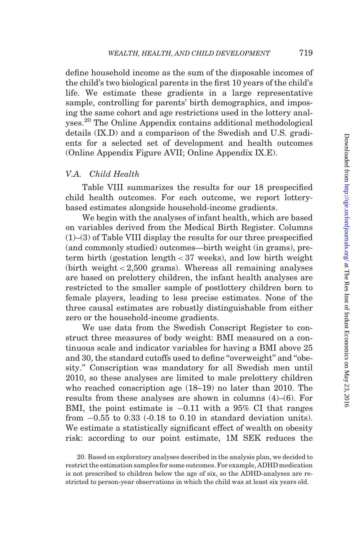define household income as the sum of the disposable incomes of the child's two biological parents in the first 10 years of the child's life. We estimate these gradients in a large representative sample, controlling for parents' birth demographics, and imposing the same cohort and age restrictions used in the lottery analyses.<sup>20</sup> The [Online Appendix](http://qje.oxfordjournals.org/lookup/suppl/doi:10.1093/qje/qjw001/-/DC1) contains additional methodological details (IX.D) and a comparison of the Swedish and U.S. gradients for a selected set of development and health outcomes [\(Online Appendix Figure AVII](http://qje.oxfordjournals.org/lookup/suppl/doi:10.1093/qje/qjw001/-/DC1); [Online Appendix IX.E](http://qje.oxfordjournals.org/lookup/suppl/doi:10.1093/qje/qjw001/-/DC1)).

### V.A. Child Health

[Table VIII](#page-33-0) summarizes the results for our 18 prespecified child health outcomes. For each outcome, we report lotterybased estimates alongside household-income gradients.

We begin with the analyses of infant health, which are based on variables derived from the Medical Birth Register. Columns (1)–(3) of [Table VIII](#page-33-0) display the results for our three prespecified (and commonly studied) outcomes—birth weight (in grams), preterm birth (gestation length < 37 weeks), and low birth weight (birth weight < 2,500 grams). Whereas all remaining analyses are based on prelottery children, the infant health analyses are restricted to the smaller sample of postlottery children born to female players, leading to less precise estimates. None of the three causal estimates are robustly distinguishable from either zero or the household-income gradients.

We use data from the Swedish Conscript Register to construct three measures of body weight: BMI measured on a continuous scale and indicator variables for having a BMI above 25 and 30, the standard cutoffs used to define "overweight" and "obesity.'' Conscription was mandatory for all Swedish men until 2010, so these analyses are limited to male prelottery children who reached conscription age (18–19) no later than 2010. The results from these analyses are shown in columns (4)–(6). For BMI, the point estimate is  $-0.11$  with a 95% CI that ranges from  $-0.55$  to 0.33 ( $-0.18$  to 0.10 in standard deviation units). We estimate a statistically significant effect of wealth on obesity risk: according to our point estimate, 1M SEK reduces the

<sup>20.</sup> Based on exploratory analyses described in the analysis plan, we decided to restrict the estimation samples for some outcomes. For example, ADHD medication is not prescribed to children below the age of six, so the ADHD-analyses are restricted to person-year observations in which the child was at least six years old.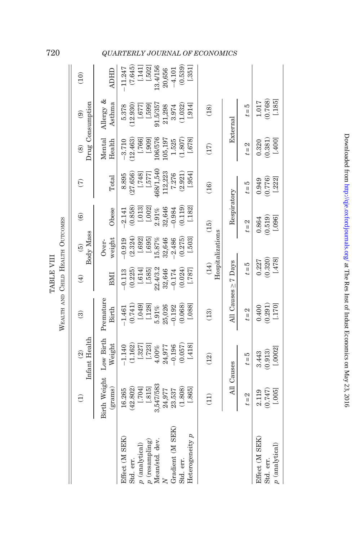|                                                 | Э                          | Infant Health<br>$\widehat{\mathfrak{D}}$                 | ව                                      | $\widehat{\mathfrak{t}}$      | Body Mass<br>$\widehat{e}$    | $\widehat{\mathbf{e}}$        | E                          | $\circledcirc$                 | Drug Consumption<br>$\widehat{e}$ | (10)                                                        |
|-------------------------------------------------|----------------------------|-----------------------------------------------------------|----------------------------------------|-------------------------------|-------------------------------|-------------------------------|----------------------------|--------------------------------|-----------------------------------|-------------------------------------------------------------|
|                                                 | Birth Weight<br>(grams)    | Low Birth<br>Weight                                       | Prematur<br>Birth                      | BMI                           | weight<br>Over-               | Obese                         | Total                      | Mental<br>Health               | Allergy &<br>Asthma               | <b>ADHID</b>                                                |
| Effect (M SEK)<br>$p$ (analytical)<br>Std. err. | [107.]<br>42.802<br>16.265 | (1.162)<br>$-1.140$                                       | (0.741)<br>$-1.461$                    | (0.225)<br>[.614]<br>$-0.113$ | (2.324)<br>$-0.919$<br>[.692] | (0.858)<br>[.013]<br>$-2.141$ | 27.656<br>[.748]<br>8.895  | (12.463)<br>[.766]<br>$-3.710$ | 5.378<br>(12.930)<br>[773]        | (7.645)<br>11.247                                           |
| $p$ (resampling)<br>Mean/std. dev.              | 3,547/583<br>[.815]        | $\begin{array}{c} [.327] \\ [.723] \\ 4.00\% \end{array}$ | $[.049] \\ [.128] \\ [.128] \\ 5.91\%$ | 22.4/3.2<br>[.585]            | [.695]<br>15.87%              | $[.002] \\ 2.91\%$            | $[.577]$ 468/1,540         | 106/576<br>106/576             | 91.5/357<br>[0.667]               | $\begin{array}{c} [.141] \\ [.502] \\ 13.4/156 \end{array}$ |
| Gradient (M SEK)<br>$\geq$                      | 24,977<br>23.537           | $-0.196$<br>24,977                                        | 25,026<br>$-0.192$                     | 32,646<br>$-0.174$            | 32,646<br>2.486               | 32,646<br>$-0.984$            | 112,223<br>7.276           | 1.525<br>105,197               | 21,298<br>3.974                   | 20,656<br>$-4.101$                                          |
| Heterogeneity p<br>Std. err.                    | (1.808)<br>[.865]          | [.418]<br>(0.057)                                         | (0.068)<br>[.088]                      | (0.024)<br>[.787]             | (0.275)<br>$[.503]$           | (0.119)<br>[.182]             | (2.921)<br>[.954]          | (1.807)<br>[.678]              | [.914]<br>(1.032)                 | (0.539)<br>[.351]                                           |
|                                                 | $\widehat{\Xi}$            | (12)                                                      | (13)                                   | (14)                          | Hospitalizations              | (15)                          | (16)                       | (17)                           | (18)                              |                                                             |
|                                                 | All Causes                 |                                                           |                                        | All Causes > 7 Days           |                               | Respiratory                   |                            |                                | External                          |                                                             |
|                                                 | $t=2$                      | $t=5$                                                     | $t=2$                                  | $t=5$                         |                               | $t=2$                         | $t=5$                      | $t=2$                          | $t=5$                             |                                                             |
| Effect (M SEK)<br>$p$ (analytical)<br>Std. err. | (0.747)<br>[.005]<br>2.119 | [.0002]<br>(0.913)<br>3.443                               | $(0.400)$<br>$(0.291)$<br>[.170]       | (0.320)<br>[.478]<br>0.227    |                               | (0.519)<br>[.096]<br>0.864    | (0.776)<br>[.222]<br>0.949 | [.400]<br>(0.381)<br>0.320     | $\frac{1.017}{(0.768)}$<br>[.185] |                                                             |

WEALTH AND CHILD HEALTH OUTCOMES WEALTH AND CHILD HEALTH OUTCOMES TABLE VIII TABLE VIII

# <span id="page-33-0"></span>720 QUARTERLY JOURNAL OF ECONOMICS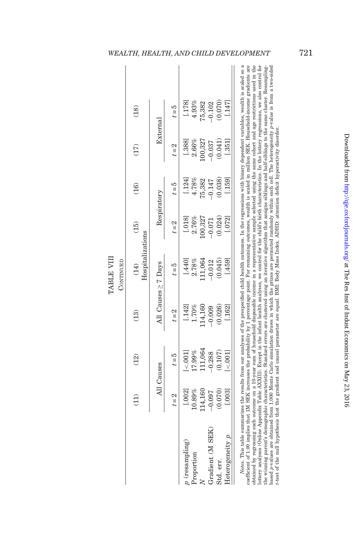| (12)<br>$\widehat{\Xi}$                  |                   |                          |             |          |          |          |  |
|------------------------------------------|-------------------|--------------------------|-------------|----------|----------|----------|--|
|                                          | $\left(13\right)$ | Hospitalizations<br>(14) | (15)        | (16)     | (17)     | (18)     |  |
| All Causes                               |                   | All Causes > 7 Days      | Respiratory |          | External |          |  |
| $t = 5$<br>$t=2$                         | $t = 2$           | $t = 5$                  | $t=2$       | $t = 5$  | $t=2$    | $t = 5$  |  |
| < 001<br>[.002]<br>$p$ (resampling)      | [.142]            | [.440]                   | [.018]      | [.124]   | [.388]   | [.178]   |  |
| 7.99%<br>10.89%<br>Proportion            | 1.70%             | 2.78%                    | 2.76%       | 4.78%    | 2.66%    | 4.93%    |  |
| 11,064<br>114,160                        | 14,160            | 11,064                   | .00,327     | 75,382   | 100,327  | 75,382   |  |
| $-0.288$<br>$-0.097$<br>Gradient (M SEK) | $-0.009$          | $-0.012$                 | $-0.071$    | $-0.147$ | $-0.037$ | $-0.102$ |  |
| (0.107)<br>(0.070)<br>Std. err.          | 0.026             | (0.045)                  | (0.024)     | (0.038)  | 0.041    | (0.070)  |  |
| < .001<br>.003<br>Heterogeneity p        | [.162]            | [459]                    | .072        | (.159)   | (.351)   | [.147]   |  |

# *Notes*. This table summarizes the results from our analyses of the prespecified child health outcomes. In the regressions with binary dependent variables, wealth is scaled so a cofficient of 1.00 implies that IM SEK incre  $\mathbf{II}$ the winning parent's demographic characteristics. Standard errors are clustered using an iterative algorithm that assigns siblings and half-siblings to the same cluster. Resampling-<br>based p-values are obtained from 1,000 M Notes. This table summarizes the results from our analyses of the prespecified child health outcomes. In the regressions with binary dependent variables, wealth is scaled so a lottery analyses (Online [Appendix](http://qje.oxfordjournals.org/lookup/suppl/doi:10.1093/qje/qjw001/-/DC1) Table AXXIII). Except in the infant health analyses, we control for the child's birth characteristics. In the lottery regressions, we also control for based p-values are obtained from 1,000 Monte Carlo simulation draws in which the prizes are permuted randomly within each cell. The heterogeneity p-value is from a two-sided obtained by regressing each outcome on a 10-year sum of household disposable income in a representative sample selected using the same cohort and age restrictions used in the the winning parent's demographic characteristics. Standard errors are clustered using an iterative algorithm that assigns siblings and half-siblings to the same cluster. Resamplingt-test of the null hypothesis that the gradient and causal parameter are equal. BMI: Body Mass Index. ADHD: attention deficit hyperactivity disorder.

 $\overline{\phantom{a}}$ 

 $\overline{\phantom{a}}$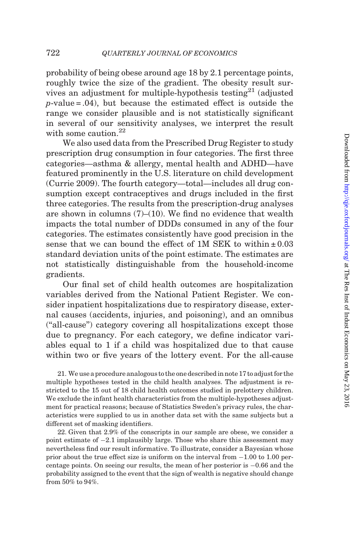probability of being obese around age 18 by 2.1 percentage points, roughly twice the size of the gradient. The obesity result survives an adjustment for multiple-hypothesis testing<sup>21</sup> (adjusted  $p$ -value = .04), but because the estimated effect is outside the range we consider plausible and is not statistically significant in several of our sensitivity analyses, we interpret the result with some caution.<sup>22</sup>

We also used data from the Prescribed Drug Register to study prescription drug consumption in four categories. The first three categories—asthma & allergy, mental health and ADHD—have featured prominently in the U.S. literature on child development ([Currie 2009\)](#page-49-0). The fourth category—total—includes all drug consumption except contraceptives and drugs included in the first three categories. The results from the prescription-drug analyses are shown in columns  $(7)$ – $(10)$ . We find no evidence that wealth impacts the total number of DDDs consumed in any of the four categories. The estimates consistently have good precision in the sense that we can bound the effect of 1M SEK to within  $\pm 0.03$ standard deviation units of the point estimate. The estimates are not statistically distinguishable from the household-income gradients.

Our final set of child health outcomes are hospitalization variables derived from the National Patient Register. We consider inpatient hospitalizations due to respiratory disease, external causes (accidents, injuries, and poisoning), and an omnibus (''all-cause'') category covering all hospitalizations except those due to pregnancy. For each category, we define indicator variables equal to 1 if a child was hospitalized due to that cause within two or five years of the lottery event. For the all-cause

21. We use a procedure analogous to the one described in note 17 to adjust for the multiple hypotheses tested in the child health analyses. The adjustment is restricted to the 15 out of 18 child health outcomes studied in prelottery children. We exclude the infant health characteristics from the multiple-hypotheses adjustment for practical reasons; because of Statistics Sweden's privacy rules, the characteristics were supplied to us in another data set with the same subjects but a different set of masking identifiers.

22. Given that 2.9% of the conscripts in our sample are obese, we consider a point estimate of  $-2.1$  implausibly large. Those who share this assessment may nevertheless find our result informative. To illustrate, consider a Bayesian whose prior about the true effect size is uniform on the interval from  $-1.00$  to 1.00 percentage points. On seeing our results, the mean of her posterior is  $-0.66$  and the probability assigned to the event that the sign of wealth is negative should change from 50% to 94%.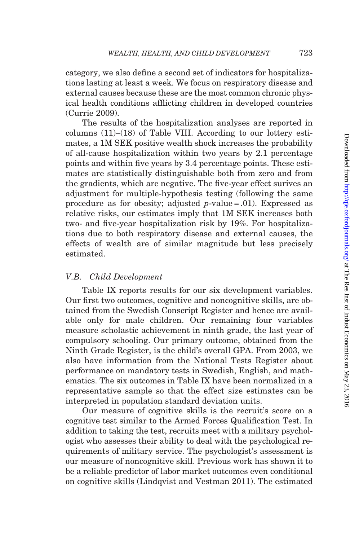category, we also define a second set of indicators for hospitalizations lasting at least a week. We focus on respiratory disease and external causes because these are the most common chronic physical health conditions afflicting children in developed countries [\(Currie 2009](#page-49-0)).

The results of the hospitalization analyses are reported in columns  $(11)$ – $(18)$  of Table VIII. According to our lottery estimates, a 1M SEK positive wealth shock increases the probability of all-cause hospitalization within two years by 2.1 percentage points and within five years by 3.4 percentage points. These estimates are statistically distinguishable both from zero and from the gradients, which are negative. The five-year effect surives an adjustment for multiple-hypothesis testing (following the same procedure as for obesity; adjusted  $p$ -value = .01). Expressed as relative risks, our estimates imply that 1M SEK increases both two- and five-year hospitalization risk by 19%. For hospitalizations due to both respiratory disease and external causes, the effects of wealth are of similar magnitude but less precisely estimated.

### V.B. Child Development

[Table IX](#page-37-0) reports results for our six development variables. Our first two outcomes, cognitive and noncognitive skills, are obtained from the Swedish Conscript Register and hence are available only for male children. Our remaining four variables measure scholastic achievement in ninth grade, the last year of compulsory schooling. Our primary outcome, obtained from the Ninth Grade Register, is the child's overall GPA. From 2003, we also have information from the National Tests Register about performance on mandatory tests in Swedish, English, and mathematics. The six outcomes in [Table IX](#page-37-0) have been normalized in a representative sample so that the effect size estimates can be interpreted in population standard deviation units.

Our measure of cognitive skills is the recruit's score on a cognitive test similar to the Armed Forces Qualification Test. In addition to taking the test, recruits meet with a military psychologist who assesses their ability to deal with the psychological requirements of military service. The psychologist's assessment is our measure of noncognitive skill. Previous work has shown it to be a reliable predictor of labor market outcomes even conditional on cognitive skills ([Lindqvist and Vestman 2011\)](#page-50-0). The estimated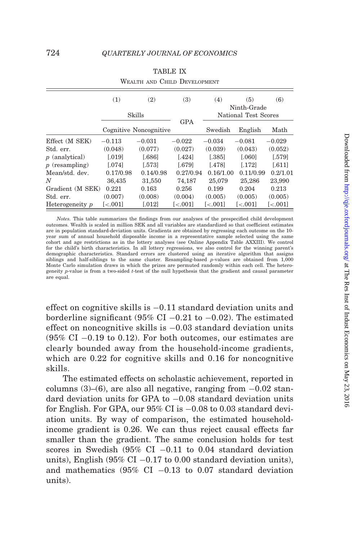<span id="page-37-0"></span>

| WEALTH AND CHILD DEVELOPMENT |                        |                        |                         |                         |                         |                         |  |  |
|------------------------------|------------------------|------------------------|-------------------------|-------------------------|-------------------------|-------------------------|--|--|
|                              | (1)                    | (2)                    | (3)                     | (4)                     | (5)                     | (6)                     |  |  |
|                              |                        |                        |                         | Ninth-Grade             |                         |                         |  |  |
|                              |                        | Skills                 | <b>GPA</b>              | National Test Scores    |                         |                         |  |  |
|                              |                        | Cognitive Noncognitive |                         | Swedish                 | English                 | Math                    |  |  |
| Effect (M SEK)               | $-0.113$               | $-0.031$               | $-0.022$                | $-0.034$                | $-0.081$                | $-0.029$                |  |  |
| Std. err.                    | (0.048)                | (0.077)                | (0.027)                 | (0.039)                 | (0.043)                 | (0.052)                 |  |  |
| $p$ (analytical)             | 0.019                  | 0.686                  | [.424]                  | [.385]                  | 0.0601                  | 1.579                   |  |  |
| $p$ (resampling)             | 0.0741                 | [.573]                 | [.679]                  | [.478]                  | [.172]                  | [.611]                  |  |  |
| Mean/std. dev.               | 0.17/0.98              | 0.14/0.98              | 0.27/0.94               | 0.16/1.00               | 0.11/0.99               | 0.2/1.01                |  |  |
| N                            | 36,435                 | 31,550                 | 74,187                  | 25,079                  | 25,286                  | 23,990                  |  |  |
| Gradient (M SEK)             | 0.221                  | 0.163                  | 0.256                   | 0.199                   | 0.204                   | 0.213                   |  |  |
| Std. err.                    | (0.007)                | (0.008)                | (0.004)                 | (0.005)                 | (0.005)                 | (0.005)                 |  |  |
| Heterogeneity p              | $\left[ <.001 \right]$ | [.012]                 | $\left[ < .001 \right]$ | $\left[ < .001 \right]$ | $\left[ < .001 \right]$ | $\left[ < .001 \right]$ |  |  |

|  | <b>TABLE IX</b> |                              |
|--|-----------------|------------------------------|
|  |                 | WEALTH AND CHILD DEVELOPMENT |

Notes. This table summarizes the findings from our analyses of the prespecified child development outcomes. Wealth is scaled in million SEK and all variables are standardized so that coefficient estimates are in population standard-deviation units. Gradients are obtained by regressing each outcome on the 10 year sum of annual household disposable income in a representative sample selected using the same cohort and age restrictions as in the lottery analyses (see [Online Appendix Table AXXIII\)](http://qje.oxfordjournals.org/lookup/suppl/doi:10.1093/qje/qjw001/-/DC1). We control for the child's birth characteristics. In all lottery regressions, we also control for the winning parent's demographic characteristics. Standard errors are clustered using an iterative algorithm that assigns siblings and half-siblings to the same cluster. Resampling-based p-values are obtained from 1,000 Monte Carlo simulation draws in which the prizes are permuted randomly within each cell. The heterogeneity p-value is from a two-sided t-test of the null hypothesis that the gradient and causal parameter are equal.

effect on cognitive skills is  $-0.11$  standard deviation units and borderline significant (95% CI  $-0.21$  to  $-0.02$ ). The estimated effect on noncognitive skills is  $-0.03$  standard deviation units  $(95\% \text{ CI } -0.19 \text{ to } 0.12)$ . For both outcomes, our estimates are clearly bounded away from the household-income gradients, which are 0.22 for cognitive skills and 0.16 for noncognitive skills.

The estimated effects on scholastic achievement, reported in columns  $(3)$ – $(6)$ , are also all negative, ranging from  $-0.02$  standard deviation units for GPA to  $-0.08$  standard deviation units for English. For GPA, our  $95\%$  CI is  $-0.08$  to 0.03 standard deviation units. By way of comparison, the estimated householdincome gradient is 0.26. We can thus reject causal effects far smaller than the gradient. The same conclusion holds for test scores in Swedish  $(95\% \text{ CI} -0.11 \text{ to } 0.04 \text{ standard deviation})$ units), English  $(95\% \text{ CI} - 0.17 \text{ to } 0.00 \text{ standard deviation units})$ , and mathematics  $(95\% \text{ CI } -0.13 \text{ to } 0.07 \text{ standard deviation})$ units).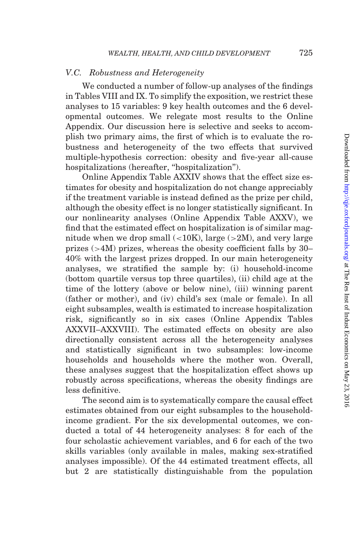### V.C. Robustness and Heterogeneity

We conducted a number of follow-up analyses of the findings in [Tables VIII](#page-33-0) and [IX](#page-37-0). To simplify the exposition, we restrict these analyses to 15 variables: 9 key health outcomes and the 6 developmental outcomes. We relegate most results to the [Online](http://qje.oxfordjournals.org/lookup/suppl/doi:10.1093/qje/qjw001/-/DC1) [Appendix.](http://qje.oxfordjournals.org/lookup/suppl/doi:10.1093/qje/qjw001/-/DC1) Our discussion here is selective and seeks to accomplish two primary aims, the first of which is to evaluate the robustness and heterogeneity of the two effects that survived multiple-hypothesis correction: obesity and five-year all-cause hospitalizations (hereafter, ''hospitalization'').

[Online Appendix Table AXXIV](http://qje.oxfordjournals.org/lookup/suppl/doi:10.1093/qje/qjw001/-/DC1) shows that the effect size estimates for obesity and hospitalization do not change appreciably if the treatment variable is instead defined as the prize per child, although the obesity effect is no longer statistically significant. In our nonlinearity analyses [\(Online Appendix Table AXXV\)](http://qje.oxfordjournals.org/lookup/suppl/doi:10.1093/qje/qjw001/-/DC1), we find that the estimated effect on hospitalization is of similar magnitude when we drop small  $\left($  < 10K), large ( $>$ 2M), and very large prizes (>4M) prizes, whereas the obesity coefficient falls by 30– 40% with the largest prizes dropped. In our main heterogeneity analyses, we stratified the sample by: (i) household-income (bottom quartile versus top three quartiles), (ii) child age at the time of the lottery (above or below nine), (iii) winning parent (father or mother), and (iv) child's sex (male or female). In all eight subsamples, wealth is estimated to increase hospitalization risk, significantly so in six cases ([Online Appendix Tables](http://qje.oxfordjournals.org/lookup/suppl/doi:10.1093/qje/qjw001/-/DC1) [AXXVII–AXXVIII](http://qje.oxfordjournals.org/lookup/suppl/doi:10.1093/qje/qjw001/-/DC1)). The estimated effects on obesity are also directionally consistent across all the heterogeneity analyses and statistically significant in two subsamples: low-income households and households where the mother won. Overall, these analyses suggest that the hospitalization effect shows up robustly across specifications, whereas the obesity findings are less definitive.

The second aim is to systematically compare the causal effect estimates obtained from our eight subsamples to the householdincome gradient. For the six developmental outcomes, we conducted a total of 44 heterogeneity analyses: 8 for each of the four scholastic achievement variables, and 6 for each of the two skills variables (only available in males, making sex-stratified analyses impossible). Of the 44 estimated treatment effects, all but 2 are statistically distinguishable from the population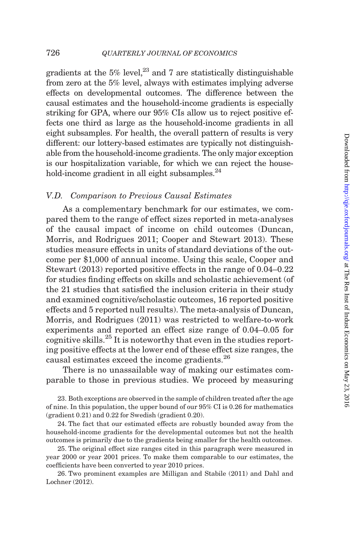gradients at the  $5\%$  level,<sup>23</sup> and 7 are statistically distinguishable from zero at the 5% level, always with estimates implying adverse effects on developmental outcomes. The difference between the causal estimates and the household-income gradients is especially striking for GPA, where our 95% CIs allow us to reject positive effects one third as large as the household-income gradients in all eight subsamples. For health, the overall pattern of results is very different: our lottery-based estimates are typically not distinguishable from the household-income gradients. The only major exception is our hospitalization variable, for which we can reject the household-income gradient in all eight subsamples.<sup>24</sup>

### V.D. Comparison to Previous Causal Estimates

As a complementary benchmark for our estimates, we compared them to the range of effect sizes reported in meta-analyses of the causal impact of income on child outcomes [\(Duncan,](#page-49-0) [Morris, and Rodrigues 2011](#page-49-0); [Cooper and Stewart 2013\)](#page-49-0). These studies measure effects in units of standard deviations of the outcome per \$1,000 of annual income. Using this scale, [Cooper and](#page-49-0) [Stewart \(2013\)](#page-49-0) reported positive effects in the range of 0.04–0.22 for studies finding effects on skills and scholastic achievement (of the 21 studies that satisfied the inclusion criteria in their study and examined cognitive/scholastic outcomes, 16 reported positive effects and 5 reported null results). The meta-analysis of [Duncan,](#page-49-0) [Morris, and Rodrigues \(2011\)](#page-49-0) was restricted to welfare-to-work experiments and reported an effect size range of 0.04–0.05 for cognitive skills.<sup>25</sup> It is noteworthy that even in the studies reporting positive effects at the lower end of these effect size ranges, the causal estimates exceed the income gradients.<sup>26</sup>

There is no unassailable way of making our estimates comparable to those in previous studies. We proceed by measuring

23. Both exceptions are observed in the sample of children treated after the age of nine. In this population, the upper bound of our 95% CI is 0.26 for mathematics (gradient 0.21) and 0.22 for Swedish (gradient 0.20).

24. The fact that our estimated effects are robustly bounded away from the household-income gradients for the developmental outcomes but not the health outcomes is primarily due to the gradients being smaller for the health outcomes.

25. The original effect size ranges cited in this paragraph were measured in year 2000 or year 2001 prices. To make them comparable to our estimates, the coefficients have been converted to year 2010 prices.

26. Two prominent examples are [Milligan and Stabile \(2011\)](#page-50-0) and [Dahl and](#page-49-0) [Lochner \(2012\)](#page-49-0).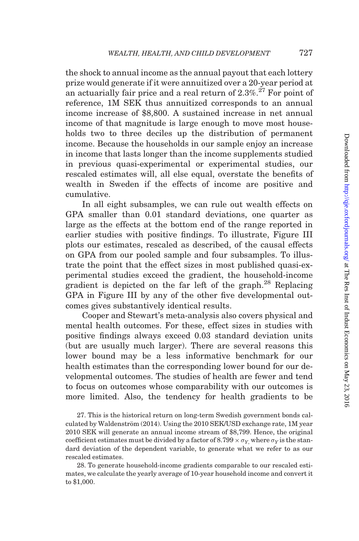the shock to annual income as the annual payout that each lottery prize would generate if it were annuitized over a 20-year period at an actuarially fair price and a real return of  $2.3\%$ <sup>27</sup> For point of reference, 1M SEK thus annuitized corresponds to an annual income increase of \$8,800. A sustained increase in net annual income of that magnitude is large enough to move most households two to three deciles up the distribution of permanent income. Because the households in our sample enjoy an increase in income that lasts longer than the income supplements studied in previous quasi-experimental or experimental studies, our rescaled estimates will, all else equal, overstate the benefits of wealth in Sweden if the effects of income are positive and cumulative.

In all eight subsamples, we can rule out wealth effects on GPA smaller than 0.01 standard deviations, one quarter as large as the effects at the bottom end of the range reported in earlier studies with positive findings. To illustrate, [Figure III](#page-41-0) plots our estimates, rescaled as described, of the causal effects on GPA from our pooled sample and four subsamples. To illustrate the point that the effect sizes in most published quasi-experimental studies exceed the gradient, the household-income gradient is depicted on the far left of the graph.<sup>28</sup> Replacing GPA in [Figure III](#page-41-0) by any of the other five developmental outcomes gives substantively identical results.

Cooper and Stewart's meta-analysis also covers physical and mental health outcomes. For these, effect sizes in studies with positive findings always exceed 0.03 standard deviation units (but are usually much larger). There are several reasons this lower bound may be a less informative benchmark for our health estimates than the corresponding lower bound for our developmental outcomes. The studies of health are fewer and tend to focus on outcomes whose comparability with our outcomes is more limited. Also, the tendency for health gradients to be

27. This is the historical return on long-term Swedish government bonds calculated by Waldenström  $(2014)$ . Using the 2010 SEK/USD exchange rate, 1M year 2010 SEK will generate an annual income stream of \$8,799. Hence, the original coefficient estimates must be divided by a factor of  $8.799 \times \sigma_Y$ , where  $\sigma_Y$  is the standard deviation of the dependent variable, to generate what we refer to as our rescaled estimates.

28. To generate household-income gradients comparable to our rescaled estimates, we calculate the yearly average of 10-year household income and convert it to \$1,000.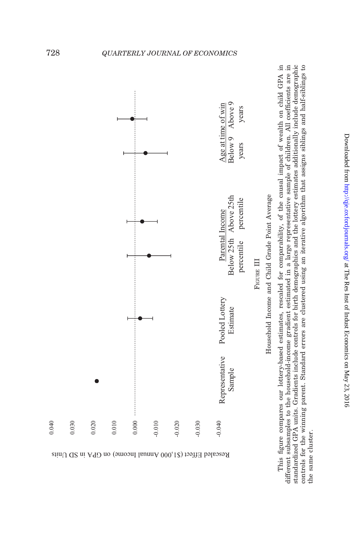<span id="page-41-0"></span>



This figure compares our lottery-based estimates, rescaled for comparability, of the causal impact of wealth on child GPA in different subsamples to the household-income gradient estimated in a large representative sample of children. All coefficients are in standardized GPA units. Gradients include controls for birth demographics and the lottery estimates additionally include demographic controls for the winning parent. Standard errors are clustered using an iterative algorithm that assigns siblings and half-siblings to This figure compares our lottery-based estimates, rescaled for comparability, of the causal impact of wealth on child GPA in different subsamples to the household-income gradient estimated in a large representative sample of children. All coefficients are in standardized GPA units. Gradients include controls for birth demographics and the lottery estimates additionally include demographic controls for the winning parent. Standard errors are clustered using an iterative algorithm that assigns siblings and half-siblings to the same cluster. the same cluster.

Downloaded from <http://qje.oxfordjournals.org/> at The Res Inst of Indust Economics on May 23, 2016

Downloaded from http://qje.oxfordjournals.org/ at The Res Inst of Indust Economics on May 23, 2016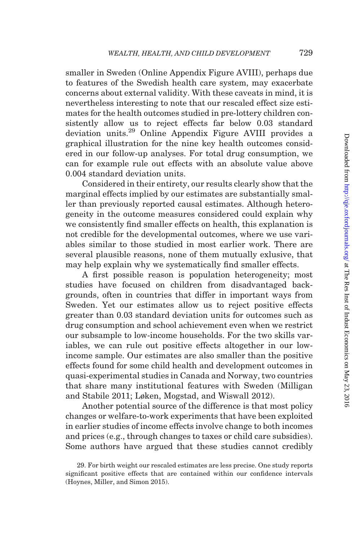smaller in Sweden ([Online Appendix Figure AVIII](http://qje.oxfordjournals.org/lookup/suppl/doi:10.1093/qje/qjw001/-/DC1)), perhaps due to features of the Swedish health care system, may exacerbate concerns about external validity. With these caveats in mind, it is nevertheless interesting to note that our rescaled effect size estimates for the health outcomes studied in pre-lottery children consistently allow us to reject effects far below 0.03 standard deviation units.29 [Online Appendix Figure AVIII](http://qje.oxfordjournals.org/lookup/suppl/doi:10.1093/qje/qjw001/-/DC1) provides a graphical illustration for the nine key health outcomes considered in our follow-up analyses. For total drug consumption, we can for example rule out effects with an absolute value above 0.004 standard deviation units.

Considered in their entirety, our results clearly show that the marginal effects implied by our estimates are substantially smaller than previously reported causal estimates. Although heterogeneity in the outcome measures considered could explain why we consistently find smaller effects on health, this explanation is not credible for the developmental outcomes, where we use variables similar to those studied in most earlier work. There are several plausible reasons, none of them mutually exlusive, that may help explain why we systematically find smaller effects.

A first possible reason is population heterogeneity; most studies have focused on children from disadvantaged backgrounds, often in countries that differ in important ways from Sweden. Yet our estimates allow us to reject positive effects greater than 0.03 standard deviation units for outcomes such as drug consumption and school achievement even when we restrict our subsample to low-income households. For the two skills variables, we can rule out positive effects altogether in our lowincome sample. Our estimates are also smaller than the positive effects found for some child health and development outcomes in quasi-experimental studies in Canada and Norway, two countries that share many institutional features with Sweden ([Milligan](#page-50-0) [and Stabile 2011](#page-50-0); [Løken, Mogstad, and Wiswall 2012\)](#page-50-0).

Another potential source of the difference is that most policy changes or welfare-to-work experiments that have been exploited in earlier studies of income effects involve change to both incomes and prices (e.g., through changes to taxes or child care subsidies). Some authors have argued that these studies cannot credibly

<sup>29.</sup> For birth weight our rescaled estimates are less precise. One study reports significant positive effects that are contained within our confidence intervals [\(Hoynes, Miller, and Simon 2015](#page-50-0)).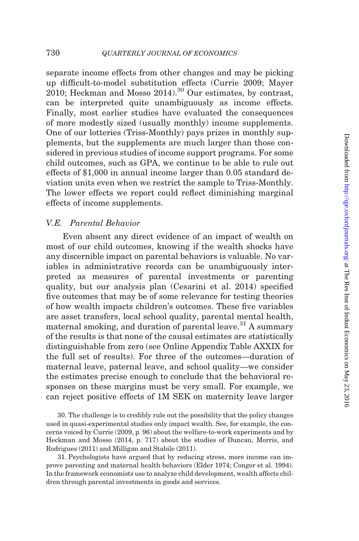separate income effects from other changes and may be picking up difficult-to-model substitution effects [\(Currie 2009](#page-49-0); [Mayer](#page-50-0) [2010](#page-50-0); Heckman and Mosso  $2014$ .<sup>30</sup> Our estimates, by contrast, can be interpreted quite unambiguously as income effects. Finally, most earlier studies have evaluated the consequences of more modestly sized (usually monthly) income supplements. One of our lotteries (Triss-Monthly) pays prizes in monthly supplements, but the supplements are much larger than those considered in previous studies of income support programs. For some child outcomes, such as GPA, we continue to be able to rule out effects of \$1,000 in annual income larger than 0.05 standard deviation units even when we restrict the sample to Triss-Monthly. The lower effects we report could reflect diminishing marginal effects of income supplements.

# V.E. Parental Behavior

Even absent any direct evidence of an impact of wealth on most of our child outcomes, knowing if the wealth shocks have any discernible impact on parental behaviors is valuable. No variables in administrative records can be unambiguously interpreted as measures of parental investments or parenting quality, but our analysis plan [\(Cesarini et al. 2014](#page-49-0)) specified five outcomes that may be of some relevance for testing theories of how wealth impacts children's outcomes. These five variables are asset transfers, local school quality, parental mental health, maternal smoking, and duration of parental leave.<sup>31</sup> A summary of the results is that none of the causal estimates are statistically distinguishable from zero (see [Online Appendix Table AXXIX](http://qje.oxfordjournals.org/lookup/suppl/doi:10.1093/qje/qjw001/-/DC1) for the full set of results). For three of the outcomes—duration of maternal leave, paternal leave, and school quality—we consider the estimates precise enough to conclude that the behavioral responses on these margins must be very small. For example, we can reject positive effects of 1M SEK on maternity leave larger

30. The challenge is to credibly rule out the possibility that the policy changes used in quasi-experimental studies only impact wealth. See, for example, the concerns voiced by Currie ([2009](#page-49-0), p. 96) about the welfare-to-work experiments and by Heckman and Mosso ([2014](#page-50-0), p. 717) about the studies of [Duncan, Morris, and](#page-49-0) [Rodrigues \(2011\)](#page-49-0) and [Milligan and Stabile \(2011\).](#page-50-0)

31. Psychologists have argued that by reducing stress, more income can improve parenting and maternal health behaviors ([Elder 1974; Conger et al. 1994](#page-49-0)). In the framework economists use to analyze child development, wealth affects children through parental investments in goods and services.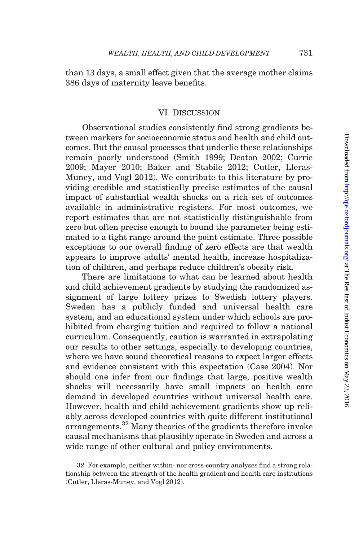than 13 days, a small effect given that the average mother claims 386 days of maternity leave benefits.

### VI. Discussion

Observational studies consistently find strong gradients between markers for socioeconomic status and health and child outcomes. But the causal processes that underlie these relationships remain poorly understood ([Smith 1999;](#page-51-0) [Deaton 2002; Currie](#page-49-0) [2009;](#page-49-0) [Mayer 2010;](#page-50-0) [Baker and Stabile 2012](#page-48-0); [Cutler, Lleras-](#page-49-0)[Muney, and Vogl 2012\)](#page-49-0). We contribute to this literature by providing credible and statistically precise estimates of the causal impact of substantial wealth shocks on a rich set of outcomes available in administrative registers. For most outcomes, we report estimates that are not statistically distinguishable from zero but often precise enough to bound the parameter being estimated to a tight range around the point estimate. Three possible exceptions to our overall finding of zero effects are that wealth appears to improve adults' mental health, increase hospitalization of children, and perhaps reduce children's obesity risk.

There are limitations to what can be learned about health and child achievement gradients by studying the randomized assignment of large lottery prizes to Swedish lottery players. Sweden has a publicly funded and universal health care system, and an educational system under which schools are prohibited from charging tuition and required to follow a national curriculum. Consequently, caution is warranted in extrapolating our results to other settings, especially to developing countries, where we have sound theoretical reasons to expect larger effects and evidence consistent with this expectation [\(Case 2004](#page-48-0)). Nor should one infer from our findings that large, positive wealth shocks will necessarily have small impacts on health care demand in developed countries without universal health care. However, health and child achievement gradients show up reliably across developed countries with quite different institutional arrangements.<sup>32</sup> Many theories of the gradients therefore invoke causal mechanisms that plausibly operate in Sweden and across a wide range of other cultural and policy environments.

<sup>32.</sup> For example, neither within- nor cross-country analyses find a strong relationship between the strength of the health gradient and health care institutions [\(Cutler, Lleras-Muney, and Vogl 2012\)](#page-49-0).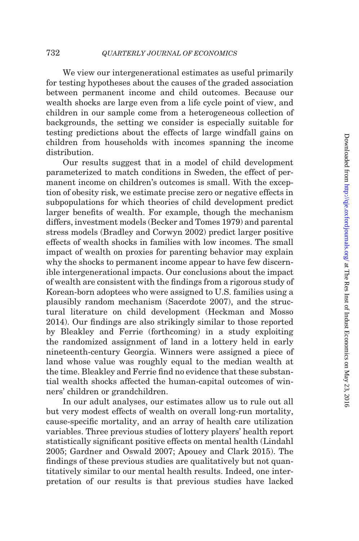We view our intergenerational estimates as useful primarily for testing hypotheses about the causes of the graded association between permanent income and child outcomes. Because our wealth shocks are large even from a life cycle point of view, and children in our sample come from a heterogeneous collection of backgrounds, the setting we consider is especially suitable for testing predictions about the effects of large windfall gains on children from households with incomes spanning the income distribution.

Our results suggest that in a model of child development parameterized to match conditions in Sweden, the effect of permanent income on children's outcomes is small. With the exception of obesity risk, we estimate precise zero or negative effects in subpopulations for which theories of child development predict larger benefits of wealth. For example, though the mechanism differs, investment models ([Becker and Tomes 1979](#page-48-0)) and parental stress models ([Bradley and Corwyn 2002](#page-48-0)) predict larger positive effects of wealth shocks in families with low incomes. The small impact of wealth on proxies for parenting behavior may explain why the shocks to permanent income appear to have few discernible intergenerational impacts. Our conclusions about the impact of wealth are consistent with the findings from a rigorous study of Korean-born adoptees who were assigned to U.S. families using a plausibly random mechanism [\(Sacerdote 2007\)](#page-50-0), and the structural literature on child development ([Heckman and Mosso](#page-50-0) [2014](#page-50-0)). Our findings are also strikingly similar to those reported by [Bleakley and Ferrie \(forthcoming\)](#page-48-0) in a study exploiting the randomized assignment of land in a lottery held in early nineteenth-century Georgia. Winners were assigned a piece of land whose value was roughly equal to the median wealth at the time. Bleakley and Ferrie find no evidence that these substantial wealth shocks affected the human-capital outcomes of winners' children or grandchildren.

In our adult analyses, our estimates allow us to rule out all but very modest effects of wealth on overall long-run mortality, cause-specific mortality, and an array of health care utilization variables. Three previous studies of lottery players' health report statistically significant positive effects on mental health ([Lindahl](#page-50-0) [2005](#page-50-0); [Gardner and Oswald 2007;](#page-49-0) [Apouey and Clark 2015\)](#page-48-0). The findings of these previous studies are qualitatively but not quantitatively similar to our mental health results. Indeed, one interpretation of our results is that previous studies have lacked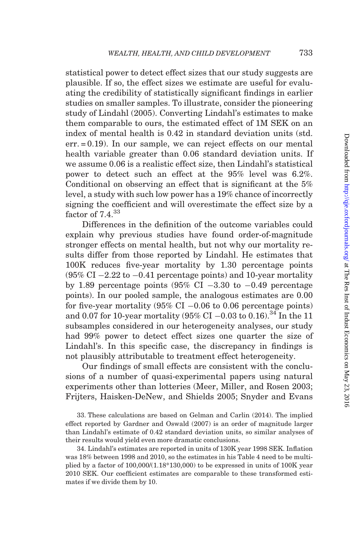statistical power to detect effect sizes that our study suggests are plausible. If so, the effect sizes we estimate are useful for evaluating the credibility of statistically significant findings in earlier studies on smaller samples. To illustrate, consider the pioneering study of [Lindahl \(2005\)](#page-50-0). Converting Lindahl's estimates to make them comparable to ours, the estimated effect of 1M SEK on an index of mental health is 0.42 in standard deviation units (std. err. = 0.19). In our sample, we can reject effects on our mental health variable greater than 0.06 standard deviation units. If we assume 0.06 is a realistic effect size, then Lindahl's statistical power to detect such an effect at the 95% level was 6.2%. Conditional on observing an effect that is significant at the 5% level, a study with such low power has a 19% chance of incorrectly signing the coefficient and will overestimate the effect size by a factor of  $7.4^{33}$ 

Differences in the definition of the outcome variables could explain why previous studies have found order-of-magnitude stronger effects on mental health, but not why our mortality results differ from those reported by Lindahl. He estimates that 100K reduces five-year mortality by 1.30 percentage points  $(95\% \text{ CI} - 2.22 \text{ to } -0.41 \text{ percentage points})$  and 10-year mortality by 1.89 percentage points  $(95\% \text{ CI} -3.30 \text{ to } -0.49 \text{ percentage})$ points). In our pooled sample, the analogous estimates are 0.00 for five-year mortality  $(95\% \text{ CI} - 0.06 \text{ to } 0.06 \text{ percentage points})$ and 0.07 for 10-year mortality (95% CI  $-0.03$  to 0.16).<sup>34</sup> In the 11 subsamples considered in our heterogeneity analyses, our study had 99% power to detect effect sizes one quarter the size of Lindahl's. In this specific case, the discrepancy in findings is not plausibly attributable to treatment effect heterogeneity.

Our findings of small effects are consistent with the conclusions of a number of quasi-experimental papers using natural experiments other than lotteries [\(Meer, Miller, and Rosen 2003;](#page-50-0) [Frijters, Haisken-DeNew, and Shields 2005;](#page-49-0) [Snyder and Evans](#page-51-0)

33. These calculations are based on [Gelman and Carlin \(2014\).](#page-49-0) The implied effect reported by [Gardner and Oswald \(2007\)](#page-49-0) is an order of magnitude larger than Lindahl's estimate of 0.42 standard deviation units, so similar analyses of their results would yield even more dramatic conclusions.

34. Lindahl's estimates are reported in units of 130K year 1998 SEK. Inflation was 18% between 1998 and 2010, so the estimates in his Table 4 need to be multiplied by a factor of  $100,000/(1.18*130,000)$  to be expressed in units of  $100K$  year 2010 SEK. Our coefficient estimates are comparable to these transformed estimates if we divide them by 10.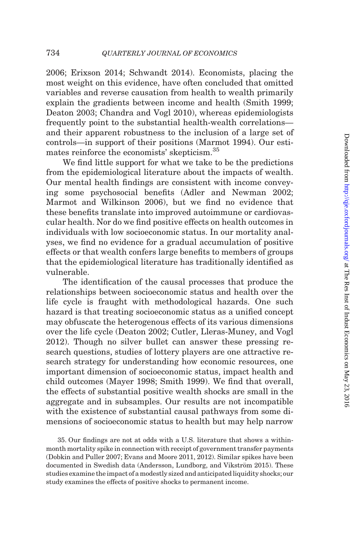[2006](#page-51-0); [Erixson 2014;](#page-49-0) [Schwandt 2014\)](#page-50-0). Economists, placing the most weight on this evidence, have often concluded that omitted variables and reverse causation from health to wealth primarily explain the gradients between income and health ([Smith 1999](#page-51-0); [Deaton 2003; Chandra and Vogl 2010](#page-49-0)), whereas epidemiologists frequently point to the substantial health-wealth correlations and their apparent robustness to the inclusion of a large set of controls—in support of their positions ([Marmot 1994](#page-50-0)). Our estimates reinforce the economists' skepticism.<sup>35</sup>

We find little support for what we take to be the predictions from the epidemiological literature about the impacts of wealth. Our mental health findings are consistent with income conveying some psychosocial benefits [\(Adler and Newman 2002](#page-48-0); [Marmot and Wilkinson 2006\)](#page-50-0), but we find no evidence that these benefits translate into improved autoimmune or cardiovascular health. Nor do we find positive effects on health outcomes in individuals with low socioeconomic status. In our mortality analyses, we find no evidence for a gradual accumulation of positive effects or that wealth confers large benefits to members of groups that the epidemiological literature has traditionally identified as vulnerable.

The identification of the causal processes that produce the relationships between socioeconomic status and health over the life cycle is fraught with methodological hazards. One such hazard is that treating socioeconomic status as a unified concept may obfuscate the heterogenous effects of its various dimensions over the life cycle ([Deaton 2002; Cutler, Lleras-Muney, and Vogl](#page-49-0) [2012](#page-49-0)). Though no silver bullet can answer these pressing research questions, studies of lottery players are one attractive research strategy for understanding how economic resources, one important dimension of socioeconomic status, impact health and child outcomes ([Mayer 1998](#page-50-0); [Smith 1999\)](#page-51-0). We find that overall, the effects of substantial positive wealth shocks are small in the aggregate and in subsamples. Our results are not incompatible with the existence of substantial causal pathways from some dimensions of socioeconomic status to health but may help narrow

35. Our findings are not at odds with a U.S. literature that shows a withinmonth mortality spike in connection with receipt of government transfer payments [\(Dobkin and Puller 2007; Evans and Moore 2011](#page-49-0), [2012](#page-49-0)). Similar spikes have been documented in Swedish data (Andersson, Lundborg, and Vikström 2015). These studies examine the impact of a modestly sized and anticipated liquidity shocks; our study examines the effects of positive shocks to permanent income.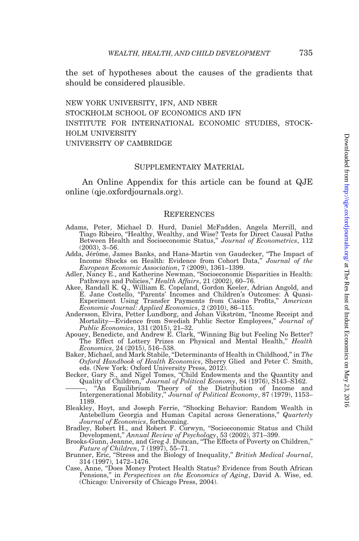<span id="page-48-0"></span>the set of hypotheses about the causes of the gradients that should be considered plausible.

new york university, ifn, and nber stockholm school of economics and ifn institute for international economic studies, stockholm university university of cambridge

### Supplementary Material

An [Online Appendix](http://qje.oxfordjournals.org/lookup/suppl/doi:10.1093/qje/qjw001/-/DC1) for this article can be found at QJE online (qje.oxfordjournals.org).

### **REFERENCES**

- Adams, Peter, Michael D. Hurd, Daniel McFadden, Angela Merrill, and Tiago Ribeiro, ''Healthy, Wealthy, and Wise? Tests for Direct Causal Paths Between Health and Socioeconomic Status," Journal of Econometrics, 112 (2003), 3–56.
- Adda, Jérôme, James Banks, and Hans-Martin von Gaudecker, "The Impact of Income Shocks on Health: Evidence from Cohort Data," Journal of the European Economic Association, 7 (2009), 1361–1399.
- Adler, Nancy E., and Katherine Newman, ''Socioeconomic Disparities in Health:
- Pathways and Policies," *Health Affairs*, 21 (2002), 60–76.<br>Akee, Randall K. Q., William E. Copeland, Gordon Keeler, Adrian Angold, and E. Jane Costello, ''Parents' Incomes and Children's Outcomes: A Quasi-Experiment Using Transfer Payments from Casino Profits," American Economic Journal: Applied Economics, 2 (2010), 86–115.
- Andersson, Elvira, Petter Lundborg, and Johan Vikström, "Income Receipt and Mortality—Evidence from Swedish Public Sector Employees," Journal of
- Public Economics, 131 (2015), 21–32. Apouey, Benedicte, and Andrew E. Clark, ''Winning Big but Feeling No Better? The Effect of Lottery Prizes on Physical and Mental Health," Health Economics, 24 (2015), 516–538. Baker, Michael, and Mark Stabile, ''Determinants of Health in Childhood,'' in The
- Oxford Handbook of Health Economics, Sherry Glied and Peter C. Smith,
- eds. (New York: Oxford University Press, 2012). Becker, Gary S., and Nigel Tomes, ''Child Endowments and the Quantity and Quality of Children,'' Journal of Political Economy, 84 (1976), S143–S162.
	- "An Equilibrium Theory of the Distribution of Income and Intergenerational Mobility,'' Journal of Political Economy, 87 (1979), 1153– 1189.
- Bleakley, Hoyt, and Joseph Ferrie, ''Shocking Behavior: Random Wealth in Antebellum Georgia and Human Capital across Generations," Quarterly Journal of Economics, forthcoming.<br>Bradley, Robert H., and Robert F. Corwyn, "Socioeconomic Status and Child
- Development,'' Annual Review of Psychology, 53 (2002), 371–399.
- Brooks-Gunn, Jeanne, and Greg J. Duncan, ''The Effects of Poverty on Children,'' Future of Children, 7 (1997), 55–71.
- Brunner, Eric, "Stress and the Biology of Inequality," British Medical Journal, 314 (1997), 1472–1476.
- Case, Anne, ''Does Money Protect Health Status? Evidence from South African Pensions,'' in Perspectives on the Economics of Aging, David A. Wise, ed. (Chicago: University of Chicago Press, 2004).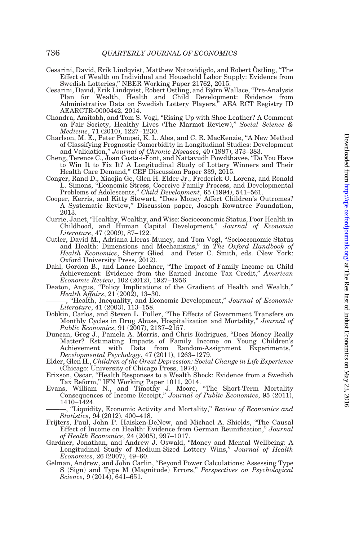- <span id="page-49-0"></span>Cesarini, David, Erik Lindqvist, Matthew Notowidigdo, and Robert Ostling, "The Effect of Wealth on Individual and Household Labor Supply: Evidence from Swedish Lotteries,'' NBER Working Paper 21762, 2015.
- Cesarini, David, Erik Lindqvist, Robert Östling, and Björn Wallace, "Pre-Analysis Plan for Wealth, Health and Child Development: Evidence from Administrative Data on Swedish Lottery Players,'' AEA RCT Registry ID AEARCTR-0000442, 2014.
- Chandra, Amitabh, and Tom S. Vogl, ''Rising Up with Shoe Leather? A Comment on Fair Society, Healthy Lives (The Marmot Review)," Social Science & Medicine, 71 (2010), 1227–1230.
- Charlson, M. E., Peter Pompei, K. L. Ales, and C. R. MacKenzie, ''A New Method of Classifying Prognostic Comorbidity in Longitudinal Studies: Development and Validation,'' Journal of Chronic Diseases, 40 (1987), 373–383.
- Cheng, Terence C., Joan Costa-i-Font, and Nattavudh Powdthavee, ''Do You Have to Win It to Fix It? A Longitudinal Study of Lottery Winners and Their Health Care Demand,'' CEP Discussion Paper 339, 2015.
- Conger, Rand D., Xiaojia Ge, Glen H. Elder Jr., Frederick O. Lorenz, and Ronald L. Simons, ''Economic Stress, Coercive Family Process, and Developmental Problems of Adolescents," Child Development, 65 (1994), 541-561.
- Cooper, Kerris, and Kitty Stewart, ''Does Money Affect Children's Outcomes? A Systematic Review,'' Discussion paper, Joseph Rowntree Foundation, 2013.
- Currie, Janet, ''Healthy, Wealthy, and Wise: Socioeconomic Status, Poor Health in Childhood, and Human Capital Development,'' Journal of Economic Literature, 47 (2009), 87–122.
- Cutler, David M., Adriana Lleras-Muney, and Tom Vogl, ''Socioeconomic Status and Health: Dimensions and Mechanisms,'' in The Oxford Handbook of Health Economics, Sherry Glied and Peter C. Smith, eds. (New York: Oxford University Press, 2012).
- Dahl, Gordon B., and Lance Lochner, ''The Impact of Family Income on Child Achievement: Evidence from the Earned Income Tax Credit," American Economic Review, 102 (2012), 1927–1956.
- Deaton, Angus, "Policy Implications of the Gradient of Health and Wealth," Health Affairs, 21 (2002), 13–30.
- <sup>"</sup>Health, Inequality, and Economic Development," Journal of Economic Literature, 41 (2003), 113–158. Dobkin, Carlos, and Steven L. Puller, ''The Effects of Government Transfers on
- Monthly Cycles in Drug Abuse, Hospitalization and Mortality," Journal of Public Economics, 91 (2007), 2137–2157.
- Duncan, Greg J., Pamela A. Morris, and Chris Rodrigues, ''Does Money Really Matter? Estimating Impacts of Family Income on Young Children's from Random-Assignment Experiments," Developmental Psychology, 47 (2011), 1263–1279.
- Elder, Glen H., Children of the Great Depression: Social Change in Life Experience (Chicago: University of Chicago Press, 1974).
- Erixson, Oscar, ''Health Responses to a Wealth Shock: Evidence from a Swedish Tax Reform,'' IFN Working Paper 1011, 2014. Evans, William N., and Timothy J. Moore, ''The Short-Term Mortality
- Consequences of Income Receipt," Journal of Public Economics, 95 (2011), 1410–1424.

, "Liquidity, Economic Activity and Mortality," Review of Economics and Statistics, 94 (2012), 400–418.

- Frijters, Paul, John P. Haisken-DeNew, and Michael A. Shields, ''The Causal Effect of Income on Health: Evidence from German Reunification,'' Journal of Health Economics, 24 (2005), 997–1017. Gardner, Jonathan, and Andrew J. Oswald, ''Money and Mental Wellbeing: A
- Longitudinal Study of Medium-Sized Lottery Wins," Journal of Health Economics, 26 (2007), 49–60.
- Gelman, Andrew, and John Carlin, ''Beyond Power Calculations: Assessing Type S (Sign) and Type M (Magnitude) Errors,'' Perspectives on Psychological Science, 9 (2014), 641–651.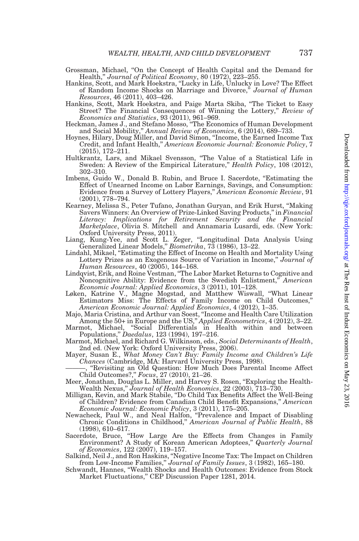- <span id="page-50-0"></span>Grossman, Michael, ''On the Concept of Health Capital and the Demand for
- Health,'' Journal of Political Economy, 80 (1972), 223–255. Hankins, Scott, and Mark Hoekstra, ''Lucky in Life, Unlucky in Love? The Effect of Random Income Shocks on Marriage and Divorce," Journal of Human Resources, 46 (2011), 403–426.
- Hankins, Scott, Mark Hoekstra, and Paige Marta Skiba, ''The Ticket to Easy Street? The Financial Consequences of Winning the Lottery," Review of Economics and Statistics, 93 (2011), 961-969.
- Heckman, James J., and Stefano Mosso, ''The Economics of Human Development and Social Mobility,'' Annual Review of Economics, 6 (2014), 689–733.
- Hoynes, Hilary, Doug Miller, and David Simon, ''Income, the Earned Income Tax Credit, and Infant Health,'' American Economic Journal: Economic Policy, 7 (2015), 172–211.
- Hultkrantz, Lars, and Mikael Svensson, ''The Value of a Statistical Life in Sweden: A Review of the Empirical Literature," Health Policy, 108 (2012), 302–310.
- Imbens, Guido W., Donald B. Rubin, and Bruce I. Sacerdote, "Estimating the Effect of Unearned Income on Labor Earnings, Savings, and Consumption: Evidence from a Survey of Lottery Players,'' American Economic Review, 91 (2001), 778–794.
- Kearney, Melissa S., Peter Tufano, Jonathan Guryan, and Erik Hurst, ''Making Savers Winners: An Overview of Prize-Linked Saving Products," in Financial Literacy: Implications for Retirement Security and the Financial Marketplace, Olivia S. Mitchell and Annamaria Lusardi, eds. (New York: Oxford University Press, 2011).
- Liang, Kung-Yee, and Scott L. Zeger, ''Longitudinal Data Analysis Using Generalized Linear Models,'' Biometrika, 73 (1986), 13–22.
- Lindahl, Mikael, ''Estimating the Effect of Income on Health and Mortality Using Lottery Prizes as an Exogenous Source of Variation in Income,'' Journal of
- Human Resources, 40 (2005), 144–168. Lindqvist, Erik, and Roine Vestman, ''The Labor Market Returns to Cognitive and Noncognitive Ability: Evidence from the Swedish Enlistment,'' American Economic Journal: Applied Economics, 3 (2011), 101–128.
- Løken, Katrine V., Magne Mogstad, and Matthew Wiswall, ''What Linear Estimators Miss: The Effects of Family Income on Child Outcomes,''
- American Economic Journal: Applied Economics, 4 (2012), 1–35. Majo, Maria Cristina, and Arthur van Soest, ''Income and Health Care Utilization
- Among the 50+ in Europe and the US," *Applied Econometrics*, 4 (2012), 3–22.<br>Marmot, Michael, "Social Differentials in Health within and between Populations,'' Daedalus, 123 (1994), 197–216.
- Marmot, Michael, and Richard G. Wilkinson, eds., Social Determinants of Health, 2nd ed. (New York: Oxford University Press, 2006).
- Mayer, Susan E., What Money Can't Buy: Family Income and Children's Life Chances (Cambridge, MA: Harvard University Press, 1998).

———, ''Revisiting an Old Question: How Much Does Parental Income Affect

- Child Outcomes?,'' Focus, 27 (2010), 21–26. Meer, Jonathan, Douglas L. Miller, and Harvey S. Rosen, ''Exploring the Health-Wealth Nexus,'' Journal of Health Economics, 22 (2003), 713–730.
- Milligan, Kevin, and Mark Stabile, ''Do Child Tax Benefits Affect the Well-Being of Children? Evidence from Canadian Child Benefit Expansions,'' American Economic Journal: Economic Policy, 3 (2011), 175–205.
- Newacheck, Paul W., and Neal Halfon, ''Prevalence and Impact of Disabling Chronic Conditions in Childhood,'' American Journal of Public Health, 88 (1998), 610–617.
- Sacerdote, Bruce, ''How Large Are the Effects from Changes in Family Environment? A Study of Korean American Adoptees," Quarterly Journal of Economics, 122 (2007), 119–157.
- Salkind, Neil J., and Ron Haskins, ''Negative Income Tax: The Impact on Children
- from Low-Income Families," Journal of Family Issues, 3 (1982), 165–180.<br>Schwandt, Hannes, "Wealth Shocks and Health Outcomes: Evidence from Stock Market Fluctuations,'' CEP Discussion Paper 1281, 2014.